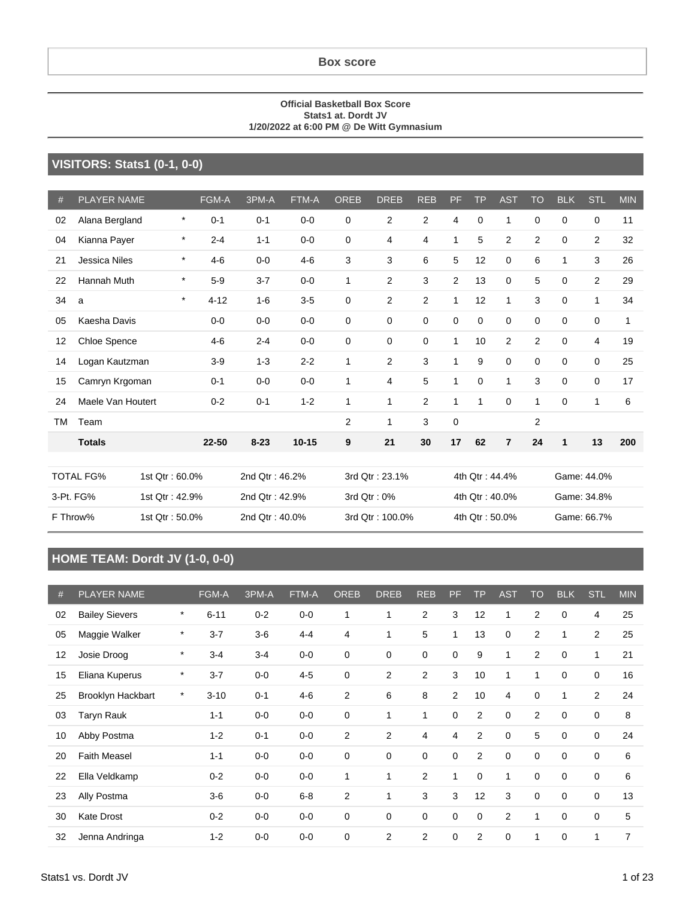#### **Official Basketball Box Score Stats1 at. Dordt JV 1/20/2022 at 6:00 PM @ De Witt Gymnasium**

#### **VISITORS: Stats1 (0-1, 0-0)**

| #                          | <b>PLAYER NAME</b>   |                | FGM-A          | 3PM-A          | FTM-A     | <b>OREB</b>     | <b>DREB</b>    | <b>REB</b>     | PF             | TP             | <b>AST</b>     | <b>TO</b>    | <b>BLK</b>  | <b>STL</b>     | <b>MIN</b> |
|----------------------------|----------------------|----------------|----------------|----------------|-----------|-----------------|----------------|----------------|----------------|----------------|----------------|--------------|-------------|----------------|------------|
| 02                         | Alana Bergland       | $\star$        | $0 - 1$        | $0 - 1$        | $0 - 0$   | 0               | $\overline{2}$ | $\overline{2}$ | 4              | $\mathbf 0$    | 1              | $\mathbf 0$  | 0           | $\mathbf 0$    | 11         |
| 04                         | Kianna Payer         | $\star$        | $2 - 4$        | $1 - 1$        | $0 - 0$   | 0               | 4              | $\overline{4}$ | 1              | 5              | 2              | 2            | $\Omega$    | 2              | 32         |
| 21                         | <b>Jessica Niles</b> | $\star$        | $4 - 6$        | $0-0$          | $4 - 6$   | 3               | 3              | 6              | 5              | 12             | 0              | 6            | 1           | 3              | 26         |
| 22                         | <b>Hannah Muth</b>   | $\star$        | $5-9$          | $3 - 7$        | $0 - 0$   | $\mathbf{1}$    | $\overline{2}$ | 3              | 2              | 13             | $\mathbf 0$    | 5            | $\Omega$    | 2              | 29         |
| 34                         | a                    | $\star$        | $4 - 12$       | $1 - 6$        | $3-5$     | 0               | $\overline{2}$ | $\overline{c}$ | 1              | 12             | $\mathbf{1}$   | 3            | 0           | 1              | 34         |
| 05                         | Kaesha Davis         |                | $0-0$          | $0-0$          | $0 - 0$   | 0               | $\Omega$       | $\Omega$       | $\mathbf 0$    | $\mathbf 0$    | $\mathbf 0$    | $\Omega$     | $\Omega$    | $\Omega$       | 1          |
| 12                         | Chloe Spence         |                | $4-6$          | $2 - 4$        | $0 - 0$   | 0               | 0              | $\mathbf 0$    | 1              | 10             | 2              | 2            | 0           | $\overline{4}$ | 19         |
| 14                         | Logan Kautzman       |                | $3-9$          | $1 - 3$        | $2 - 2$   | $\mathbf{1}$    | $\overline{2}$ | 3              | 1              | 9              | $\mathbf 0$    | $\mathbf 0$  | $\mathbf 0$ | $\mathbf 0$    | 25         |
| 15                         | Camryn Krgoman       |                | $0 - 1$        | $0 - 0$        | $0 - 0$   | $\mathbf{1}$    | 4              | 5              | 1              | $\mathbf 0$    | 1              | 3            | $\Omega$    | $\Omega$       | 17         |
| 24                         | Maele Van Houtert    |                | $0 - 2$        | $0 - 1$        | $1 - 2$   | $\mathbf{1}$    | $\mathbf{1}$   | $\overline{2}$ | 1              | 1              | $\Omega$       | $\mathbf{1}$ | $\Omega$    | 1              | 6          |
| ТM                         | Team                 |                |                |                |           | 2               | 1              | 3              | $\mathbf 0$    |                |                | 2            |             |                |            |
|                            | <b>Totals</b>        |                | 22-50          | $8 - 23$       | $10 - 15$ | 9               | 21             | 30             | 17             | 62             | $\overline{7}$ | 24           | 1           | 13             | 200        |
|                            |                      |                |                |                |           |                 |                |                |                |                |                |              |             |                |            |
|                            | <b>TOTAL FG%</b>     | 1st Qtr: 60.0% |                | 2nd Qtr: 46.2% |           |                 | 3rd Qtr: 23.1% |                |                |                | 4th Qtr: 44.4% |              |             | Game: 44.0%    |            |
|                            | 3-Pt. FG%            | 1st Qtr: 42.9% |                | 2nd Qtr: 42.9% |           |                 | 3rd Qtr: 0%    |                | 4th Qtr: 40.0% |                |                |              | Game: 34.8% |                |            |
| F Throw%<br>1st Qtr: 50.0% |                      |                | 2nd Qtr: 40.0% |                |           | 3rd Qtr: 100.0% |                |                |                | 4th Qtr: 50.0% |                | Game: 66.7%  |             |                |            |

#### **HOME TEAM: Dordt JV (1-0, 0-0)**

| #  | <b>PLAYER NAME</b>       |         | <b>FGM-A</b> | 3PM-A   | <b>FTM-A</b> | <b>OREB</b>    | <b>DREB</b>  | <b>REB</b>     | PF             | <b>TP</b>      | <b>AST</b>  | TO          | <b>BLK</b>  | <b>STL</b>     | <b>MIN</b> |
|----|--------------------------|---------|--------------|---------|--------------|----------------|--------------|----------------|----------------|----------------|-------------|-------------|-------------|----------------|------------|
| 02 | <b>Bailey Sievers</b>    | $\star$ | $6 - 11$     | $0 - 2$ | $0-0$        | 1              | 1            | $\overline{2}$ | 3              | 12             | 1           | 2           | 0           | 4              | 25         |
| 05 | Maggie Walker            | $\ast$  | $3 - 7$      | $3-6$   | $4 - 4$      | $\overline{4}$ | $\mathbf{1}$ | 5              | $\mathbf{1}$   | 13             | $\mathbf 0$ | 2           | 1           | 2              | 25         |
| 12 | Josie Droog              | $\ast$  | $3 - 4$      | $3 - 4$ | $0-0$        | 0              | $\mathbf 0$  | 0              | 0              | 9              | 1           | 2           | 0           |                | 21         |
| 15 | Eliana Kuperus           | $\star$ | $3 - 7$      | $0 - 0$ | $4 - 5$      | $\mathbf 0$    | 2            | $\overline{2}$ | 3              | 10             | 1           | 1           | $\mathbf 0$ | 0              | 16         |
| 25 | <b>Brooklyn Hackbart</b> | $\ast$  | $3 - 10$     | $0 - 1$ | $4-6$        | $\overline{2}$ | 6            | 8              | $\overline{2}$ | 10             | 4           | 0           | 1           | $\overline{2}$ | 24         |
| 03 | Taryn Rauk               |         | $1 - 1$      | $0 - 0$ | $0-0$        | $\mathbf 0$    | 1            | $\mathbf{1}$   | 0              | 2              | $\mathbf 0$ | 2           | 0           | 0              | 8          |
| 10 | Abby Postma              |         | $1 - 2$      | $0 - 1$ | $0-0$        | $\overline{2}$ | 2            | 4              | 4              | $\overline{2}$ | $\mathbf 0$ | 5           | $\mathbf 0$ | 0              | 24         |
| 20 | <b>Faith Measel</b>      |         | $1 - 1$      | $0-0$   | $0-0$        | 0              | $\mathbf 0$  | 0              | 0              | $\overline{2}$ | $\mathbf 0$ | $\mathbf 0$ | $\mathbf 0$ | 0              | 6          |
| 22 | Ella Veldkamp            |         | $0 - 2$      | $0-0$   | $0-0$        | 1              | 1            | $\overline{2}$ | 1              | $\mathbf 0$    | 1           | $\mathbf 0$ | $\Omega$    | 0              | 6          |
| 23 | Ally Postma              |         | $3-6$        | $0-0$   | $6 - 8$      | $\overline{2}$ | 1            | 3              | 3              | 12             | 3           | 0           | $\mathbf 0$ | 0              | 13         |
| 30 | Kate Drost               |         | $0 - 2$      | $0 - 0$ | $0-0$        | $\mathbf 0$    | 0            | 0              | 0              | $\mathbf 0$    | 2           | 1           | 0           | 0              | 5          |
| 32 | Jenna Andringa           |         | $1 - 2$      | $0 - 0$ | $0-0$        | $\mathbf 0$    | 2            | $\overline{2}$ | 0              | $\overline{2}$ | $\Omega$    | 1           | $\Omega$    |                | 7          |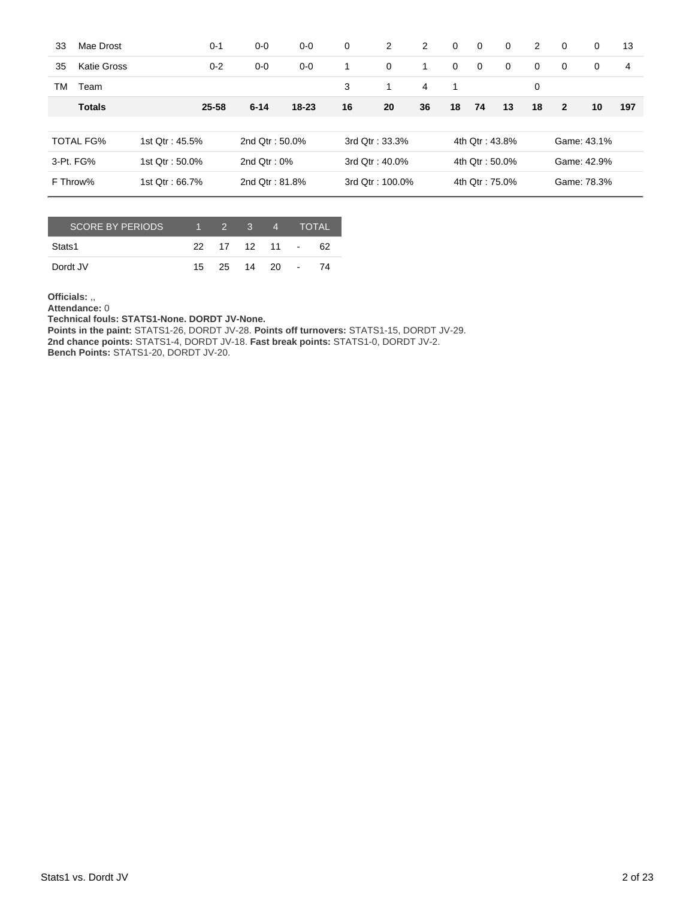| 33                          | Mae Drost          |                | $0 - 1$        | $0-0$             | $0-0$     | 0              | 2               | 2              | $\Omega$       | $\mathbf 0$    | $\Omega$    | 2           | $\Omega$       | $\Omega$    | 13  |
|-----------------------------|--------------------|----------------|----------------|-------------------|-----------|----------------|-----------------|----------------|----------------|----------------|-------------|-------------|----------------|-------------|-----|
| 35                          | <b>Katie Gross</b> |                | $0 - 2$        | $0-0$             | $0-0$     | 1              | $\mathbf{0}$    | 1              | $\mathbf 0$    | $\mathbf 0$    | $\mathbf 0$ | $\mathbf 0$ | $\Omega$       | $\Omega$    | 4   |
| ТM                          | Team               |                |                |                   |           | 3              | $\mathbf{1}$    | $\overline{4}$ | -1             |                |             | 0           |                |             |     |
|                             | <b>Totals</b>      |                | 25-58          | $6 - 14$          | $18 - 23$ | 16             | 20              | 36             | 18             | 74             | 13          | 18          | $\overline{2}$ | 10          | 197 |
|                             |                    |                |                |                   |           |                |                 |                |                |                |             |             |                |             |     |
|                             | <b>TOTAL FG%</b>   | 1st Qtr: 45.5% |                | 2nd $Qtr: 50.0\%$ |           |                | 3rd Otr: 33.3%  |                |                | 4th Otr: 43.8% |             |             |                | Game: 43.1% |     |
| 3-Pt. FG%<br>1st Qtr: 50.0% |                    |                | 2nd $Qtr: 0\%$ |                   |           | 3rd Qtr: 40.0% |                 |                | 4th Qtr: 50.0% |                |             |             | Game: 42.9%    |             |     |
| F Throw%                    |                    | 1st Qtr: 66.7% |                | 2nd Otr: 81.8%    |           |                | 3rd Qtr: 100.0% |                |                | 4th Qtr: 75.0% |             | Game: 78.3% |                |             |     |

| <b>SCORE BY PERIODS</b> | $1 \quad 2 \quad 3$ |               | $\sqrt{4}$ | <b>TOTAL</b> |
|-------------------------|---------------------|---------------|------------|--------------|
| Stats1                  |                     | 22 17 12 11 - |            | 62           |
| Dordt JV                |                     | 15 25 14 20 - |            | 74           |

**Officials:** ,,

**Attendance:** 0

**Technical fouls: STATS1-None. DORDT JV-None.**

**Points in the paint:** STATS1-26, DORDT JV-28. **Points off turnovers:** STATS1-15, DORDT JV-29. **2nd chance points:** STATS1-4, DORDT JV-18. **Fast break points:** STATS1-0, DORDT JV-2. **Bench Points:** STATS1-20, DORDT JV-20.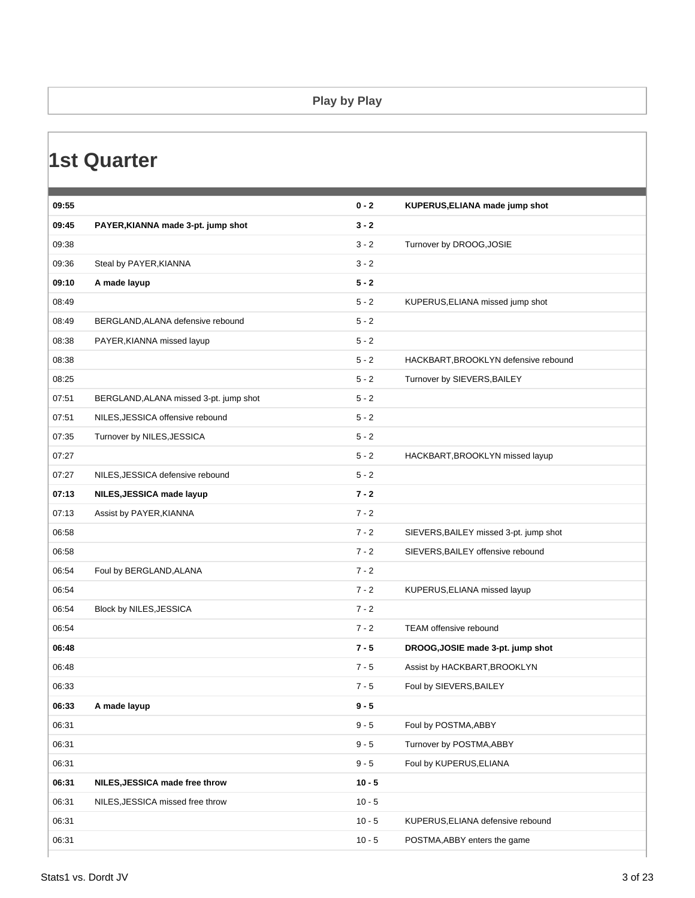#### **Play by Play**

### **1st Quarter**

| 09:55 |                                        | $0 - 2$  | KUPERUS, ELIANA made jump shot         |
|-------|----------------------------------------|----------|----------------------------------------|
| 09:45 | PAYER, KIANNA made 3-pt. jump shot     | $3 - 2$  |                                        |
| 09:38 |                                        | $3 - 2$  | Turnover by DROOG, JOSIE               |
| 09:36 | Steal by PAYER, KIANNA                 | $3 - 2$  |                                        |
| 09:10 | A made layup                           | $5 - 2$  |                                        |
| 08:49 |                                        | $5 - 2$  | KUPERUS, ELIANA missed jump shot       |
| 08:49 | BERGLAND, ALANA defensive rebound      | $5 - 2$  |                                        |
| 08:38 | PAYER, KIANNA missed layup             | $5 - 2$  |                                        |
| 08:38 |                                        | $5 - 2$  | HACKBART, BROOKLYN defensive rebound   |
| 08:25 |                                        | $5 - 2$  | Turnover by SIEVERS, BAILEY            |
| 07:51 | BERGLAND, ALANA missed 3-pt. jump shot | $5 - 2$  |                                        |
| 07:51 | NILES, JESSICA offensive rebound       | $5 - 2$  |                                        |
| 07:35 | Turnover by NILES, JESSICA             | $5 - 2$  |                                        |
| 07:27 |                                        | $5 - 2$  | HACKBART, BROOKLYN missed layup        |
| 07:27 | NILES, JESSICA defensive rebound       | $5 - 2$  |                                        |
| 07:13 | NILES, JESSICA made layup              | $7 - 2$  |                                        |
| 07:13 | Assist by PAYER, KIANNA                | $7 - 2$  |                                        |
| 06:58 |                                        | $7 - 2$  | SIEVERS, BAILEY missed 3-pt. jump shot |
| 06:58 |                                        | $7 - 2$  | SIEVERS, BAILEY offensive rebound      |
| 06:54 | Foul by BERGLAND, ALANA                | $7 - 2$  |                                        |
| 06:54 |                                        | $7 - 2$  | KUPERUS, ELIANA missed layup           |
| 06:54 | Block by NILES, JESSICA                | $7 - 2$  |                                        |
| 06:54 |                                        | $7 - 2$  | <b>TEAM offensive rebound</b>          |
| 06:48 |                                        | $7 - 5$  | DROOG, JOSIE made 3-pt. jump shot      |
| 06:48 |                                        | $7 - 5$  | Assist by HACKBART, BROOKLYN           |
| 06:33 |                                        | $7 - 5$  | Foul by SIEVERS, BAILEY                |
| 06:33 | A made layup                           | $9 - 5$  |                                        |
| 06:31 |                                        | $9 - 5$  | Foul by POSTMA, ABBY                   |
| 06:31 |                                        | $9 - 5$  | Turnover by POSTMA, ABBY               |
| 06:31 |                                        | $9 - 5$  | Foul by KUPERUS, ELIANA                |
| 06:31 | NILES, JESSICA made free throw         | $10 - 5$ |                                        |
| 06:31 | NILES, JESSICA missed free throw       | $10 - 5$ |                                        |
| 06:31 |                                        | $10 - 5$ | KUPERUS, ELIANA defensive rebound      |
| 06:31 |                                        | $10 - 5$ | POSTMA, ABBY enters the game           |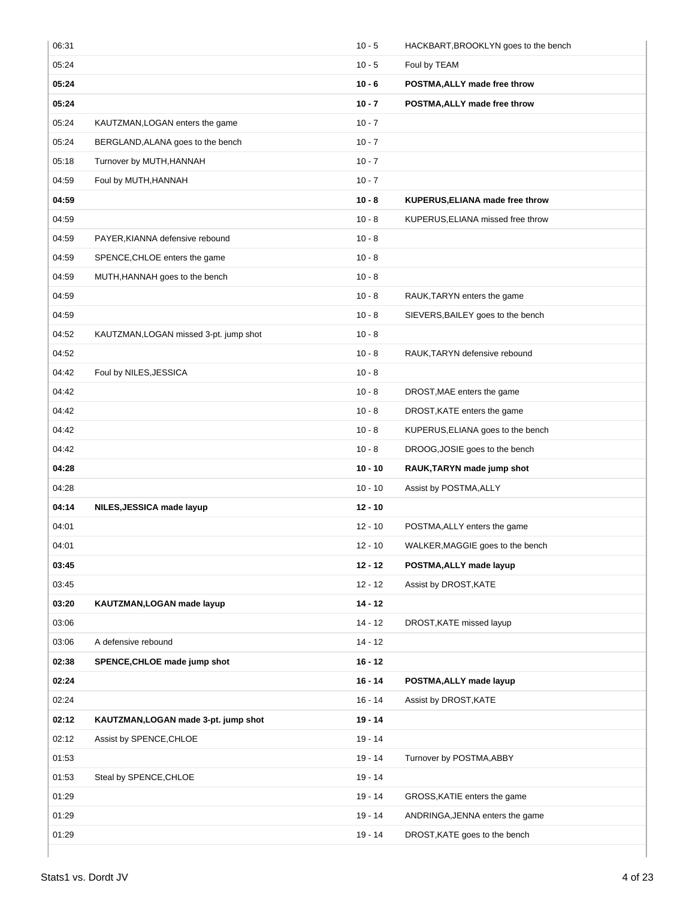| 06:31 |                                        | $10 - 5$  | HACKBART, BROOKLYN goes to the bench |
|-------|----------------------------------------|-----------|--------------------------------------|
| 05:24 |                                        | $10 - 5$  | Foul by TEAM                         |
| 05:24 |                                        | $10 - 6$  | POSTMA, ALLY made free throw         |
| 05:24 |                                        | $10 - 7$  | POSTMA, ALLY made free throw         |
| 05:24 | KAUTZMAN, LOGAN enters the game        | $10 - 7$  |                                      |
| 05:24 | BERGLAND, ALANA goes to the bench      | $10 - 7$  |                                      |
| 05:18 | Turnover by MUTH, HANNAH               | $10 - 7$  |                                      |
| 04:59 | Foul by MUTH, HANNAH                   | $10 - 7$  |                                      |
| 04:59 |                                        | $10 - 8$  | KUPERUS, ELIANA made free throw      |
| 04:59 |                                        | $10 - 8$  | KUPERUS, ELIANA missed free throw    |
| 04:59 | PAYER, KIANNA defensive rebound        | $10 - 8$  |                                      |
| 04:59 | SPENCE, CHLOE enters the game          | $10 - 8$  |                                      |
| 04:59 | MUTH, HANNAH goes to the bench         | $10 - 8$  |                                      |
| 04:59 |                                        | $10 - 8$  | RAUK, TARYN enters the game          |
| 04:59 |                                        | $10 - 8$  | SIEVERS, BAILEY goes to the bench    |
| 04:52 | KAUTZMAN, LOGAN missed 3-pt. jump shot | $10 - 8$  |                                      |
| 04:52 |                                        | $10 - 8$  | RAUK, TARYN defensive rebound        |
| 04:42 | Foul by NILES, JESSICA                 | $10 - 8$  |                                      |
| 04:42 |                                        | $10 - 8$  | DROST, MAE enters the game           |
| 04:42 |                                        | $10 - 8$  | DROST, KATE enters the game          |
| 04:42 |                                        | $10 - 8$  | KUPERUS, ELIANA goes to the bench    |
| 04:42 |                                        | $10 - 8$  | DROOG, JOSIE goes to the bench       |
| 04:28 |                                        | $10 - 10$ | RAUK, TARYN made jump shot           |
| 04:28 |                                        | $10 - 10$ | Assist by POSTMA, ALLY               |
| 04:14 | NILES, JESSICA made layup              | $12 - 10$ |                                      |
| 04:01 |                                        | $12 - 10$ | POSTMA, ALLY enters the game         |
| 04:01 |                                        | $12 - 10$ | WALKER, MAGGIE goes to the bench     |
| 03:45 |                                        | $12 - 12$ | POSTMA, ALLY made layup              |
| 03:45 |                                        | $12 - 12$ | Assist by DROST, KATE                |
| 03:20 | KAUTZMAN, LOGAN made layup             | $14 - 12$ |                                      |
| 03:06 |                                        | $14 - 12$ | DROST, KATE missed layup             |
| 03:06 | A defensive rebound                    | $14 - 12$ |                                      |
| 02:38 | SPENCE, CHLOE made jump shot           | $16 - 12$ |                                      |
| 02:24 |                                        | $16 - 14$ | POSTMA, ALLY made layup              |
| 02:24 |                                        | $16 - 14$ | Assist by DROST, KATE                |
| 02:12 | KAUTZMAN, LOGAN made 3-pt. jump shot   | $19 - 14$ |                                      |
| 02:12 | Assist by SPENCE, CHLOE                | $19 - 14$ |                                      |
| 01:53 |                                        | $19 - 14$ | Turnover by POSTMA, ABBY             |
| 01:53 | Steal by SPENCE, CHLOE                 | $19 - 14$ |                                      |
| 01:29 |                                        | $19 - 14$ | GROSS, KATIE enters the game         |
|       |                                        |           |                                      |
| 01:29 |                                        | $19 - 14$ | ANDRINGA, JENNA enters the game      |
| 01:29 |                                        | 19 - 14   | DROST, KATE goes to the bench        |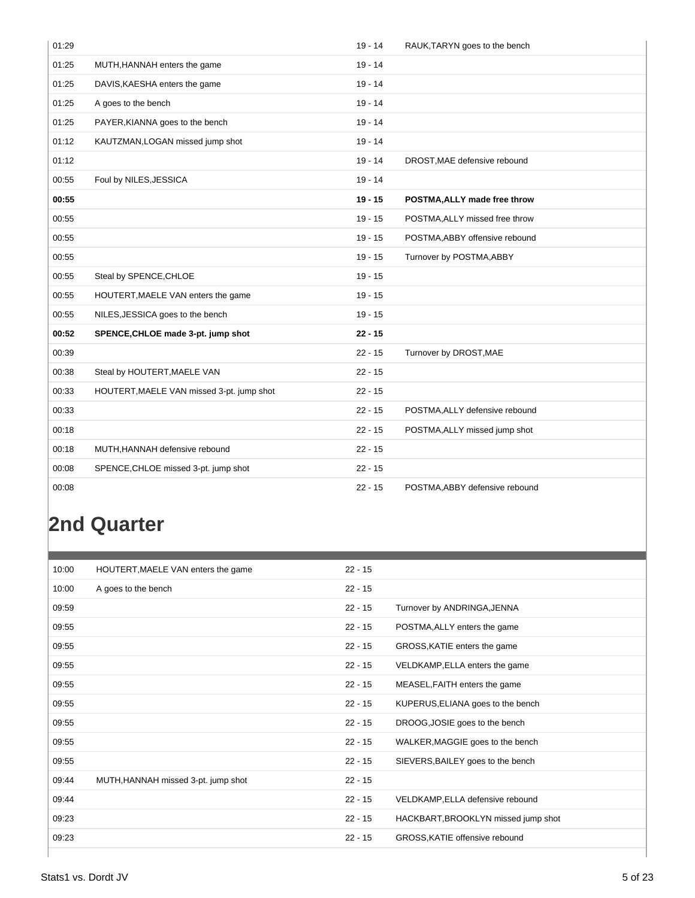| 01:29 |                                           | $19 - 14$ | RAUK, TARYN goes to the bench  |
|-------|-------------------------------------------|-----------|--------------------------------|
| 01:25 | MUTH, HANNAH enters the game              | $19 - 14$ |                                |
| 01:25 | DAVIS, KAESHA enters the game             | $19 - 14$ |                                |
| 01:25 | A goes to the bench                       | $19 - 14$ |                                |
| 01:25 | PAYER, KIANNA goes to the bench           | $19 - 14$ |                                |
| 01:12 | KAUTZMAN, LOGAN missed jump shot          | $19 - 14$ |                                |
| 01:12 |                                           | $19 - 14$ | DROST, MAE defensive rebound   |
| 00:55 | Foul by NILES, JESSICA                    | $19 - 14$ |                                |
| 00:55 |                                           | $19 - 15$ | POSTMA, ALLY made free throw   |
| 00:55 |                                           | $19 - 15$ | POSTMA, ALLY missed free throw |
| 00:55 |                                           | $19 - 15$ | POSTMA, ABBY offensive rebound |
| 00:55 |                                           | $19 - 15$ | Turnover by POSTMA, ABBY       |
| 00:55 | Steal by SPENCE, CHLOE                    | $19 - 15$ |                                |
| 00:55 | HOUTERT, MAELE VAN enters the game        | $19 - 15$ |                                |
| 00:55 | NILES, JESSICA goes to the bench          | $19 - 15$ |                                |
| 00:52 | SPENCE, CHLOE made 3-pt. jump shot        | $22 - 15$ |                                |
| 00:39 |                                           | $22 - 15$ | Turnover by DROST, MAE         |
| 00:38 | Steal by HOUTERT, MAELE VAN               | $22 - 15$ |                                |
| 00:33 | HOUTERT, MAELE VAN missed 3-pt. jump shot | $22 - 15$ |                                |
| 00:33 |                                           | $22 - 15$ | POSTMA, ALLY defensive rebound |
| 00:18 |                                           | $22 - 15$ | POSTMA, ALLY missed jump shot  |
| 00:18 |                                           |           |                                |
|       | MUTH, HANNAH defensive rebound            | $22 - 15$ |                                |
| 00:08 | SPENCE, CHLOE missed 3-pt. jump shot      | $22 - 15$ |                                |

## **2nd Quarter**

| 10:00 | HOUTERT, MAELE VAN enters the game  | $22 - 15$ |                                     |
|-------|-------------------------------------|-----------|-------------------------------------|
| 10:00 | A goes to the bench                 | $22 - 15$ |                                     |
| 09:59 |                                     | $22 - 15$ | Turnover by ANDRINGA, JENNA         |
| 09:55 |                                     | $22 - 15$ | POSTMA, ALLY enters the game        |
| 09:55 |                                     | $22 - 15$ | GROSS, KATIE enters the game        |
| 09:55 |                                     | $22 - 15$ | VELDKAMP, ELLA enters the game      |
| 09:55 |                                     | $22 - 15$ | MEASEL, FAITH enters the game       |
| 09:55 |                                     | $22 - 15$ | KUPERUS, ELIANA goes to the bench   |
| 09:55 |                                     | $22 - 15$ | DROOG, JOSIE goes to the bench      |
| 09:55 |                                     | $22 - 15$ | WALKER, MAGGIE goes to the bench    |
| 09:55 |                                     | $22 - 15$ | SIEVERS, BAILEY goes to the bench   |
| 09:44 | MUTH, HANNAH missed 3-pt. jump shot | $22 - 15$ |                                     |
| 09:44 |                                     | $22 - 15$ | VELDKAMP, ELLA defensive rebound    |
| 09:23 |                                     | $22 - 15$ | HACKBART, BROOKLYN missed jump shot |
| 09:23 |                                     | $22 - 15$ | GROSS, KATIE offensive rebound      |
|       |                                     |           |                                     |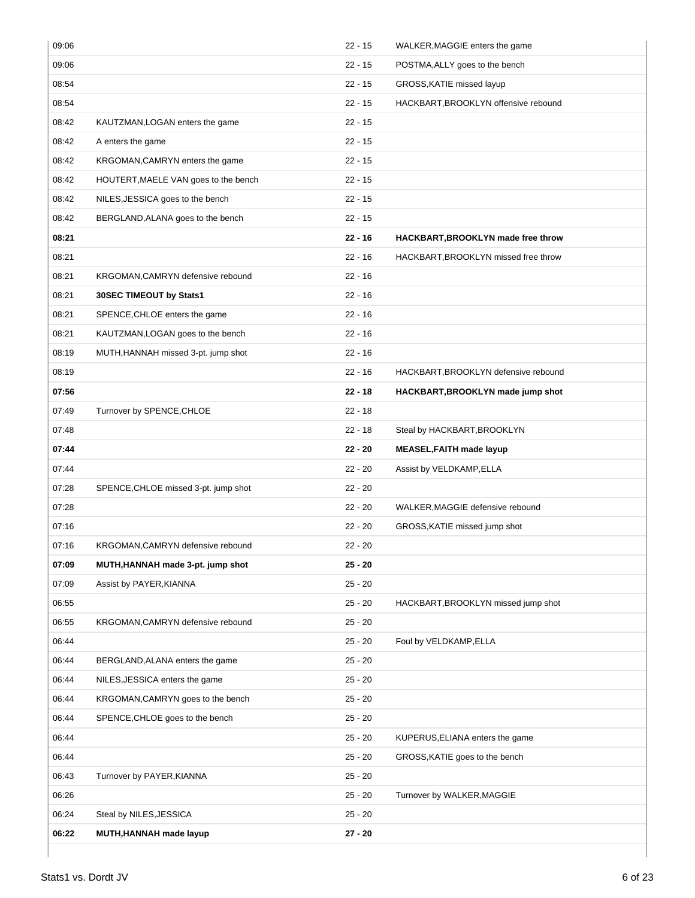| 09:06 |                                      | $22 - 15$ | WALKER, MAGGIE enters the game       |
|-------|--------------------------------------|-----------|--------------------------------------|
| 09:06 |                                      | $22 - 15$ | POSTMA, ALLY goes to the bench       |
| 08:54 |                                      | $22 - 15$ | GROSS, KATIE missed layup            |
| 08:54 |                                      | $22 - 15$ | HACKBART, BROOKLYN offensive rebound |
| 08:42 | KAUTZMAN, LOGAN enters the game      | $22 - 15$ |                                      |
| 08:42 | A enters the game                    | $22 - 15$ |                                      |
| 08:42 | KRGOMAN, CAMRYN enters the game      | $22 - 15$ |                                      |
| 08:42 | HOUTERT, MAELE VAN goes to the bench | $22 - 15$ |                                      |
| 08:42 | NILES, JESSICA goes to the bench     | $22 - 15$ |                                      |
| 08:42 | BERGLAND, ALANA goes to the bench    | $22 - 15$ |                                      |
| 08:21 |                                      | $22 - 16$ | HACKBART, BROOKLYN made free throw   |
| 08:21 |                                      | $22 - 16$ | HACKBART, BROOKLYN missed free throw |
| 08:21 | KRGOMAN, CAMRYN defensive rebound    | $22 - 16$ |                                      |
| 08:21 | 30SEC TIMEOUT by Stats1              | $22 - 16$ |                                      |
| 08:21 | SPENCE, CHLOE enters the game        | $22 - 16$ |                                      |
| 08:21 | KAUTZMAN, LOGAN goes to the bench    | $22 - 16$ |                                      |
| 08:19 | MUTH, HANNAH missed 3-pt. jump shot  | $22 - 16$ |                                      |
| 08:19 |                                      | $22 - 16$ | HACKBART, BROOKLYN defensive rebound |
| 07:56 |                                      | $22 - 18$ | HACKBART, BROOKLYN made jump shot    |
| 07:49 | Turnover by SPENCE, CHLOE            | $22 - 18$ |                                      |
| 07:48 |                                      | $22 - 18$ | Steal by HACKBART, BROOKLYN          |
| 07:44 |                                      | $22 - 20$ | <b>MEASEL, FAITH made layup</b>      |
| 07:44 |                                      | $22 - 20$ | Assist by VELDKAMP, ELLA             |
| 07:28 | SPENCE, CHLOE missed 3-pt. jump shot | $22 - 20$ |                                      |
| 07:28 |                                      | $22 - 20$ | WALKER, MAGGIE defensive rebound     |
| 07:16 |                                      | $22 - 20$ | GROSS, KATIE missed jump shot        |
| 07:16 | KRGOMAN,CAMRYN defensive rebound     | 22 - 20   |                                      |
| 07:09 | MUTH, HANNAH made 3-pt. jump shot    | $25 - 20$ |                                      |
| 07:09 | Assist by PAYER, KIANNA              | $25 - 20$ |                                      |
| 06:55 |                                      | $25 - 20$ | HACKBART, BROOKLYN missed jump shot  |
| 06:55 | KRGOMAN, CAMRYN defensive rebound    | $25 - 20$ |                                      |
| 06:44 |                                      | $25 - 20$ | Foul by VELDKAMP, ELLA               |
| 06:44 | BERGLAND, ALANA enters the game      | $25 - 20$ |                                      |
| 06:44 | NILES, JESSICA enters the game       | $25 - 20$ |                                      |
| 06:44 | KRGOMAN, CAMRYN goes to the bench    | $25 - 20$ |                                      |
| 06:44 | SPENCE, CHLOE goes to the bench      | $25 - 20$ |                                      |
| 06:44 |                                      | $25 - 20$ | KUPERUS, ELIANA enters the game      |
| 06:44 |                                      | $25 - 20$ | GROSS, KATIE goes to the bench       |
| 06:43 | Turnover by PAYER, KIANNA            | $25 - 20$ |                                      |
| 06:26 |                                      | $25 - 20$ | Turnover by WALKER, MAGGIE           |
| 06:24 | Steal by NILES, JESSICA              | $25 - 20$ |                                      |
| 06:22 | MUTH, HANNAH made layup              | $27 - 20$ |                                      |
|       |                                      |           |                                      |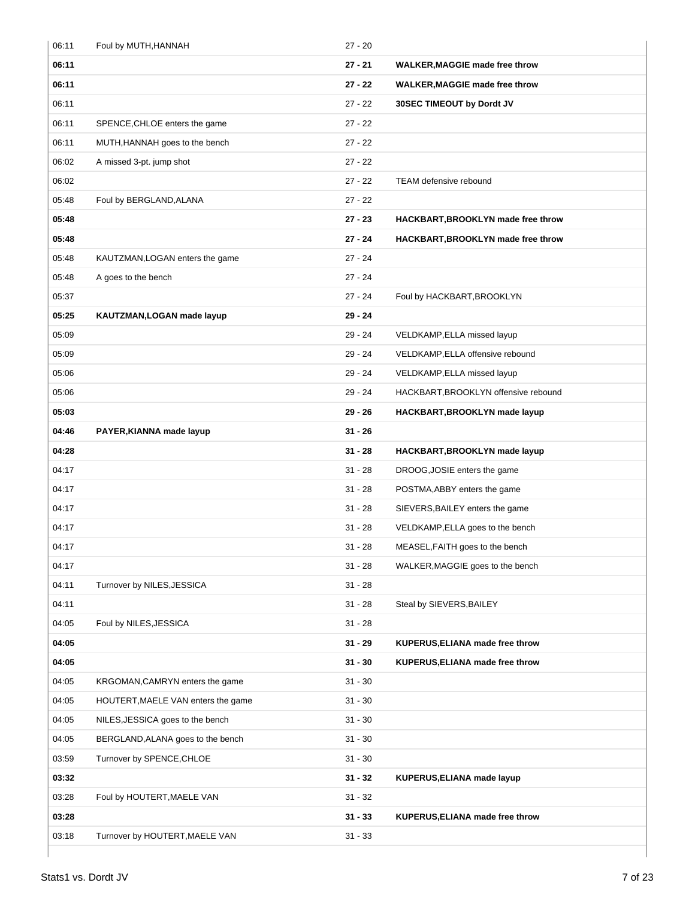| 06:11 | Foul by MUTH, HANNAH               | $27 - 20$ |                                       |
|-------|------------------------------------|-----------|---------------------------------------|
| 06:11 |                                    | $27 - 21$ | <b>WALKER, MAGGIE made free throw</b> |
| 06:11 |                                    | $27 - 22$ | <b>WALKER, MAGGIE made free throw</b> |
| 06:11 |                                    | $27 - 22$ | 30SEC TIMEOUT by Dordt JV             |
| 06:11 | SPENCE, CHLOE enters the game      | $27 - 22$ |                                       |
| 06:11 | MUTH, HANNAH goes to the bench     | $27 - 22$ |                                       |
| 06:02 | A missed 3-pt. jump shot           | $27 - 22$ |                                       |
| 06:02 |                                    | $27 - 22$ | TEAM defensive rebound                |
| 05:48 | Foul by BERGLAND, ALANA            | $27 - 22$ |                                       |
| 05:48 |                                    | $27 - 23$ | HACKBART, BROOKLYN made free throw    |
| 05:48 |                                    | $27 - 24$ | HACKBART, BROOKLYN made free throw    |
| 05:48 | KAUTZMAN, LOGAN enters the game    | $27 - 24$ |                                       |
| 05:48 | A goes to the bench                | $27 - 24$ |                                       |
| 05:37 |                                    | $27 - 24$ | Foul by HACKBART, BROOKLYN            |
| 05:25 | KAUTZMAN, LOGAN made layup         | $29 - 24$ |                                       |
| 05:09 |                                    | $29 - 24$ | VELDKAMP, ELLA missed layup           |
| 05:09 |                                    | $29 - 24$ | VELDKAMP, ELLA offensive rebound      |
| 05:06 |                                    | $29 - 24$ | VELDKAMP, ELLA missed layup           |
| 05:06 |                                    | $29 - 24$ | HACKBART, BROOKLYN offensive rebound  |
| 05:03 |                                    | $29 - 26$ | HACKBART, BROOKLYN made layup         |
| 04:46 | PAYER, KIANNA made layup           | $31 - 26$ |                                       |
| 04:28 |                                    | $31 - 28$ | HACKBART, BROOKLYN made layup         |
| 04:17 |                                    | $31 - 28$ | DROOG, JOSIE enters the game          |
| 04:17 |                                    | $31 - 28$ | POSTMA, ABBY enters the game          |
| 04:17 |                                    | $31 - 28$ | SIEVERS, BAILEY enters the game       |
| 04:17 |                                    | $31 - 28$ | VELDKAMP, ELLA goes to the bench      |
| 04:17 |                                    | $31 - 28$ | MEASEL, FAITH goes to the bench       |
| 04:17 |                                    | $31 - 28$ | WALKER, MAGGIE goes to the bench      |
| 04:11 | Turnover by NILES, JESSICA         | $31 - 28$ |                                       |
| 04:11 |                                    | $31 - 28$ | Steal by SIEVERS, BAILEY              |
| 04:05 | Foul by NILES, JESSICA             | $31 - 28$ |                                       |
| 04:05 |                                    | $31 - 29$ | KUPERUS, ELIANA made free throw       |
| 04:05 |                                    | $31 - 30$ | KUPERUS, ELIANA made free throw       |
| 04:05 | KRGOMAN, CAMRYN enters the game    | $31 - 30$ |                                       |
| 04:05 | HOUTERT, MAELE VAN enters the game | $31 - 30$ |                                       |
| 04:05 | NILES, JESSICA goes to the bench   | $31 - 30$ |                                       |
| 04:05 | BERGLAND, ALANA goes to the bench  | $31 - 30$ |                                       |
| 03:59 | Turnover by SPENCE, CHLOE          | $31 - 30$ |                                       |
| 03:32 |                                    | $31 - 32$ | KUPERUS, ELIANA made layup            |
| 03:28 | Foul by HOUTERT, MAELE VAN         | $31 - 32$ |                                       |
| 03:28 |                                    | $31 - 33$ | KUPERUS, ELIANA made free throw       |
| 03:18 | Turnover by HOUTERT, MAELE VAN     | $31 - 33$ |                                       |
|       |                                    |           |                                       |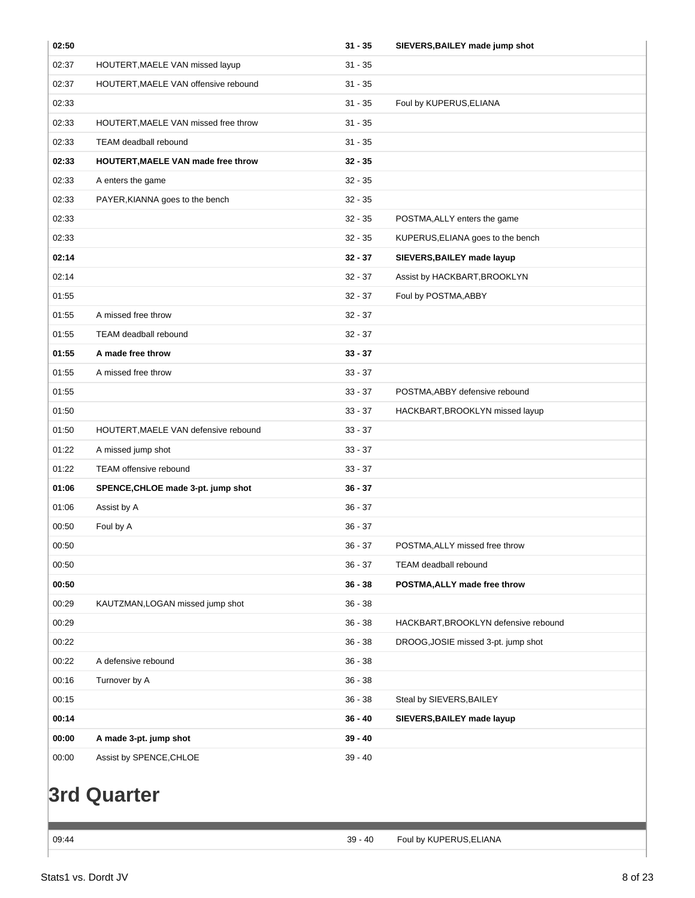| 02:50 |                                           | $31 - 35$ | SIEVERS, BAILEY made jump shot       |
|-------|-------------------------------------------|-----------|--------------------------------------|
| 02:37 | HOUTERT, MAELE VAN missed layup           | $31 - 35$ |                                      |
| 02:37 | HOUTERT, MAELE VAN offensive rebound      | $31 - 35$ |                                      |
| 02:33 |                                           | $31 - 35$ | Foul by KUPERUS, ELIANA              |
| 02:33 | HOUTERT, MAELE VAN missed free throw      | $31 - 35$ |                                      |
| 02:33 | TEAM deadball rebound                     | $31 - 35$ |                                      |
| 02:33 | <b>HOUTERT, MAELE VAN made free throw</b> | $32 - 35$ |                                      |
| 02:33 | A enters the game                         | $32 - 35$ |                                      |
| 02:33 | PAYER, KIANNA goes to the bench           | $32 - 35$ |                                      |
| 02:33 |                                           | $32 - 35$ | POSTMA, ALLY enters the game         |
| 02:33 |                                           | $32 - 35$ | KUPERUS, ELIANA goes to the bench    |
| 02:14 |                                           | $32 - 37$ | SIEVERS, BAILEY made layup           |
| 02:14 |                                           | $32 - 37$ | Assist by HACKBART, BROOKLYN         |
| 01:55 |                                           | $32 - 37$ | Foul by POSTMA, ABBY                 |
| 01:55 | A missed free throw                       | $32 - 37$ |                                      |
| 01:55 | TEAM deadball rebound                     | $32 - 37$ |                                      |
| 01:55 | A made free throw                         | $33 - 37$ |                                      |
| 01:55 | A missed free throw                       | $33 - 37$ |                                      |
| 01:55 |                                           | $33 - 37$ | POSTMA, ABBY defensive rebound       |
| 01:50 |                                           | $33 - 37$ | HACKBART, BROOKLYN missed layup      |
| 01:50 | HOUTERT, MAELE VAN defensive rebound      | $33 - 37$ |                                      |
| 01:22 | A missed jump shot                        | $33 - 37$ |                                      |
| 01:22 | TEAM offensive rebound                    | $33 - 37$ |                                      |
| 01:06 | SPENCE, CHLOE made 3-pt. jump shot        | $36 - 37$ |                                      |
| 01:06 | Assist by A                               | $36 - 37$ |                                      |
| 00:50 | Foul by A                                 | $36 - 37$ |                                      |
| 00:50 |                                           | $36 - 37$ | POSTMA, ALLY missed free throw       |
| 00:50 |                                           | $36 - 37$ | TEAM deadball rebound                |
| 00:50 |                                           | $36 - 38$ | POSTMA, ALLY made free throw         |
| 00:29 | KAUTZMAN, LOGAN missed jump shot          | $36 - 38$ |                                      |
| 00:29 |                                           | $36 - 38$ | HACKBART, BROOKLYN defensive rebound |
| 00:22 |                                           | $36 - 38$ | DROOG, JOSIE missed 3-pt. jump shot  |
| 00:22 | A defensive rebound                       | $36 - 38$ |                                      |
| 00:16 | Turnover by A                             | $36 - 38$ |                                      |
| 00:15 |                                           | $36 - 38$ | Steal by SIEVERS, BAILEY             |
| 00:14 |                                           | $36 - 40$ | SIEVERS, BAILEY made layup           |
| 00:00 | A made 3-pt. jump shot                    | $39 - 40$ |                                      |
| 00:00 | Assist by SPENCE, CHLOE                   | $39 - 40$ |                                      |
|       |                                           |           |                                      |
|       | <b>3rd Quarter</b>                        |           |                                      |
|       |                                           |           |                                      |
| 09:44 |                                           | $39 - 40$ | Foul by KUPERUS, ELIANA              |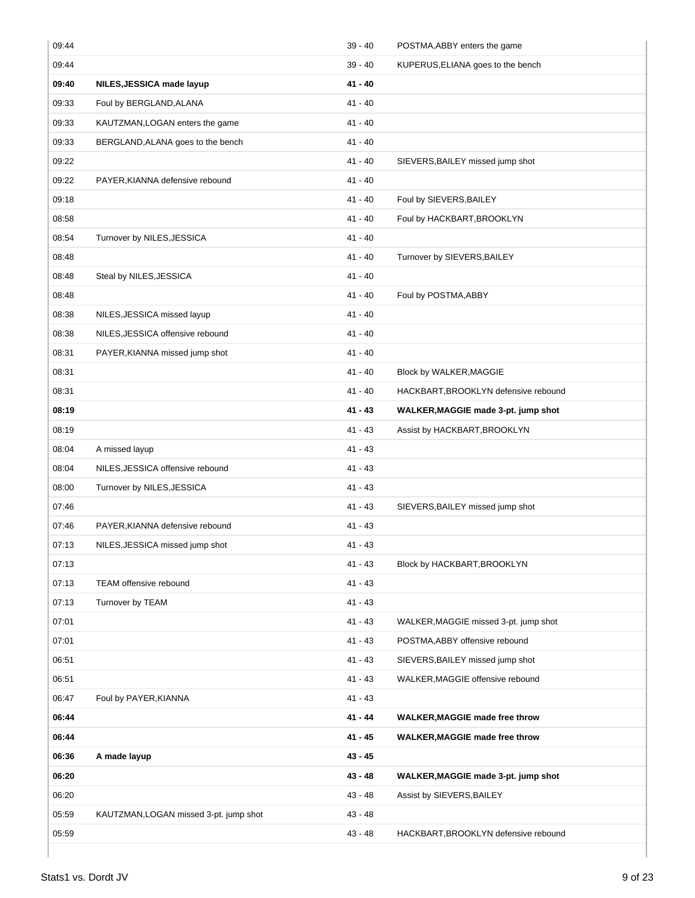| 09:44 |                                        | $39 - 40$ | POSTMA, ABBY enters the game          |
|-------|----------------------------------------|-----------|---------------------------------------|
| 09:44 |                                        | $39 - 40$ | KUPERUS, ELIANA goes to the bench     |
| 09:40 | NILES, JESSICA made layup              | $41 - 40$ |                                       |
| 09:33 | Foul by BERGLAND, ALANA                | $41 - 40$ |                                       |
| 09:33 | KAUTZMAN, LOGAN enters the game        | $41 - 40$ |                                       |
| 09:33 | BERGLAND, ALANA goes to the bench      | $41 - 40$ |                                       |
| 09:22 |                                        | $41 - 40$ | SIEVERS, BAILEY missed jump shot      |
| 09:22 | PAYER, KIANNA defensive rebound        | $41 - 40$ |                                       |
| 09:18 |                                        | $41 - 40$ | Foul by SIEVERS, BAILEY               |
| 08:58 |                                        | $41 - 40$ | Foul by HACKBART, BROOKLYN            |
| 08:54 | Turnover by NILES, JESSICA             | $41 - 40$ |                                       |
| 08:48 |                                        | $41 - 40$ | Turnover by SIEVERS, BAILEY           |
| 08:48 | Steal by NILES, JESSICA                | $41 - 40$ |                                       |
| 08:48 |                                        | $41 - 40$ | Foul by POSTMA, ABBY                  |
| 08:38 | NILES, JESSICA missed layup            | $41 - 40$ |                                       |
| 08:38 | NILES, JESSICA offensive rebound       | $41 - 40$ |                                       |
| 08:31 | PAYER, KIANNA missed jump shot         | $41 - 40$ |                                       |
| 08:31 |                                        | $41 - 40$ | Block by WALKER, MAGGIE               |
| 08:31 |                                        | 41 - 40   | HACKBART, BROOKLYN defensive rebound  |
| 08:19 |                                        | 41 - 43   | WALKER, MAGGIE made 3-pt. jump shot   |
| 08:19 |                                        | $41 - 43$ | Assist by HACKBART, BROOKLYN          |
| 08:04 | A missed layup                         | 41 - 43   |                                       |
| 08:04 | NILES, JESSICA offensive rebound       | $41 - 43$ |                                       |
| 08:00 | Turnover by NILES, JESSICA             | 41 - 43   |                                       |
| 07:46 |                                        | $41 - 43$ | SIEVERS, BAILEY missed jump shot      |
| 07:46 | PAYER, KIANNA defensive rebound        | 41 - 43   |                                       |
| 07:13 | NILES, JESSICA missed jump shot        | $41 - 43$ |                                       |
| 07:13 |                                        | $41 - 43$ | Block by HACKBART, BROOKLYN           |
| 07:13 | TEAM offensive rebound                 | $41 - 43$ |                                       |
| 07:13 | Turnover by TEAM                       | $41 - 43$ |                                       |
| 07:01 |                                        | $41 - 43$ | WALKER, MAGGIE missed 3-pt. jump shot |
| 07:01 |                                        | $41 - 43$ | POSTMA, ABBY offensive rebound        |
| 06:51 |                                        | 41 - 43   | SIEVERS, BAILEY missed jump shot      |
| 06:51 |                                        | $41 - 43$ | WALKER, MAGGIE offensive rebound      |
| 06:47 | Foul by PAYER, KIANNA                  | $41 - 43$ |                                       |
| 06:44 |                                        | 41 - 44   | WALKER, MAGGIE made free throw        |
| 06:44 |                                        | $41 - 45$ | <b>WALKER, MAGGIE made free throw</b> |
| 06:36 | A made layup                           | $43 - 45$ |                                       |
| 06:20 |                                        | $43 - 48$ | WALKER, MAGGIE made 3-pt. jump shot   |
| 06:20 |                                        | $43 - 48$ | Assist by SIEVERS, BAILEY             |
| 05:59 | KAUTZMAN, LOGAN missed 3-pt. jump shot | $43 - 48$ |                                       |
| 05:59 |                                        | $43 - 48$ | HACKBART, BROOKLYN defensive rebound  |
|       |                                        |           |                                       |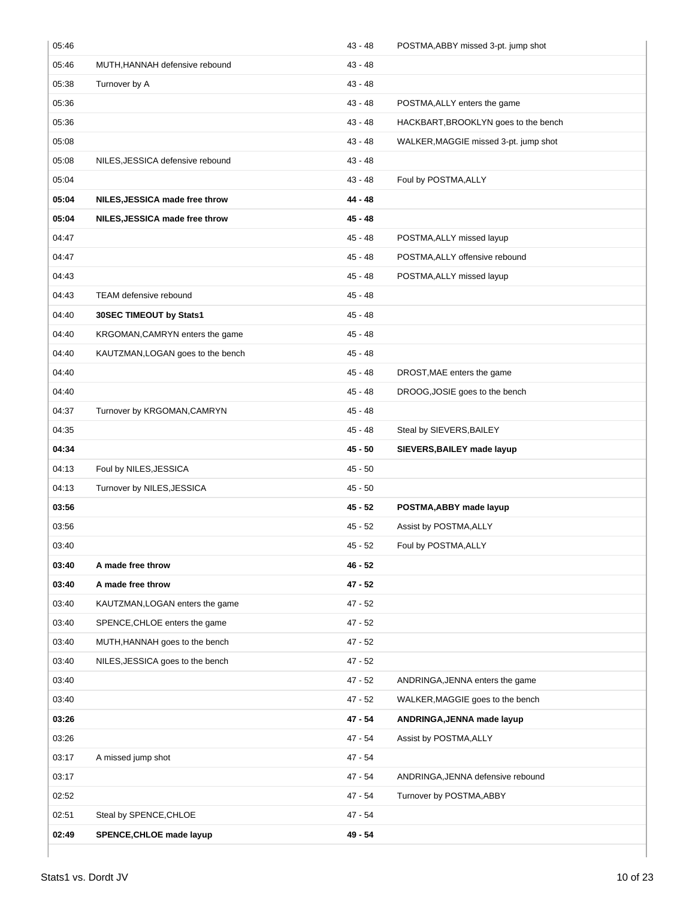| 05:46 |                                   | $43 - 48$ | POSTMA, ABBY missed 3-pt. jump shot   |
|-------|-----------------------------------|-----------|---------------------------------------|
| 05:46 | MUTH, HANNAH defensive rebound    | $43 - 48$ |                                       |
| 05:38 | Turnover by A                     | $43 - 48$ |                                       |
| 05:36 |                                   | $43 - 48$ | POSTMA, ALLY enters the game          |
| 05:36 |                                   | $43 - 48$ | HACKBART, BROOKLYN goes to the bench  |
| 05:08 |                                   | $43 - 48$ | WALKER, MAGGIE missed 3-pt. jump shot |
| 05:08 | NILES, JESSICA defensive rebound  | $43 - 48$ |                                       |
| 05:04 |                                   | $43 - 48$ | Foul by POSTMA, ALLY                  |
| 05:04 | NILES, JESSICA made free throw    | $44 - 48$ |                                       |
| 05:04 | NILES, JESSICA made free throw    | 45 - 48   |                                       |
| 04:47 |                                   | $45 - 48$ | POSTMA, ALLY missed layup             |
| 04:47 |                                   | 45 - 48   | POSTMA, ALLY offensive rebound        |
| 04:43 |                                   | 45 - 48   | POSTMA, ALLY missed layup             |
| 04:43 | <b>TEAM defensive rebound</b>     | 45 - 48   |                                       |
| 04:40 | 30SEC TIMEOUT by Stats1           | 45 - 48   |                                       |
| 04:40 | KRGOMAN, CAMRYN enters the game   | 45 - 48   |                                       |
| 04:40 | KAUTZMAN, LOGAN goes to the bench | $45 - 48$ |                                       |
| 04:40 |                                   | 45 - 48   | DROST, MAE enters the game            |
| 04:40 |                                   | 45 - 48   | DROOG, JOSIE goes to the bench        |
| 04:37 | Turnover by KRGOMAN, CAMRYN       | $45 - 48$ |                                       |
| 04:35 |                                   | 45 - 48   | Steal by SIEVERS, BAILEY              |
| 04:34 |                                   | $45 - 50$ | SIEVERS, BAILEY made layup            |
| 04:13 | Foul by NILES, JESSICA            | $45 - 50$ |                                       |
| 04:13 | Turnover by NILES, JESSICA        | $45 - 50$ |                                       |
| 03:56 |                                   | $45 - 52$ | POSTMA, ABBY made layup               |
| 03:56 |                                   | 45 - 52   | Assist by POSTMA, ALLY                |
| 03:40 |                                   | $45 - 52$ | Foul by POSTMA, ALLY                  |
| 03:40 | A made free throw                 | 46 - 52   |                                       |
| 03:40 | A made free throw                 | $47 - 52$ |                                       |
| 03:40 |                                   |           |                                       |
| 03:40 | KAUTZMAN, LOGAN enters the game   | $47 - 52$ |                                       |
|       | SPENCE, CHLOE enters the game     | $47 - 52$ |                                       |
| 03:40 | MUTH, HANNAH goes to the bench    | $47 - 52$ |                                       |
| 03:40 | NILES, JESSICA goes to the bench  | $47 - 52$ |                                       |
| 03:40 |                                   | $47 - 52$ | ANDRINGA, JENNA enters the game       |
| 03:40 |                                   | $47 - 52$ | WALKER, MAGGIE goes to the bench      |
| 03:26 |                                   | 47 - 54   | ANDRINGA, JENNA made layup            |
| 03:26 |                                   | 47 - 54   | Assist by POSTMA, ALLY                |
| 03:17 | A missed jump shot                | 47 - 54   |                                       |
| 03:17 |                                   | 47 - 54   | ANDRINGA, JENNA defensive rebound     |
| 02:52 |                                   | 47 - 54   | Turnover by POSTMA, ABBY              |
| 02:51 | Steal by SPENCE, CHLOE            | 47 - 54   |                                       |
| 02:49 | <b>SPENCE, CHLOE made layup</b>   | 49 - 54   |                                       |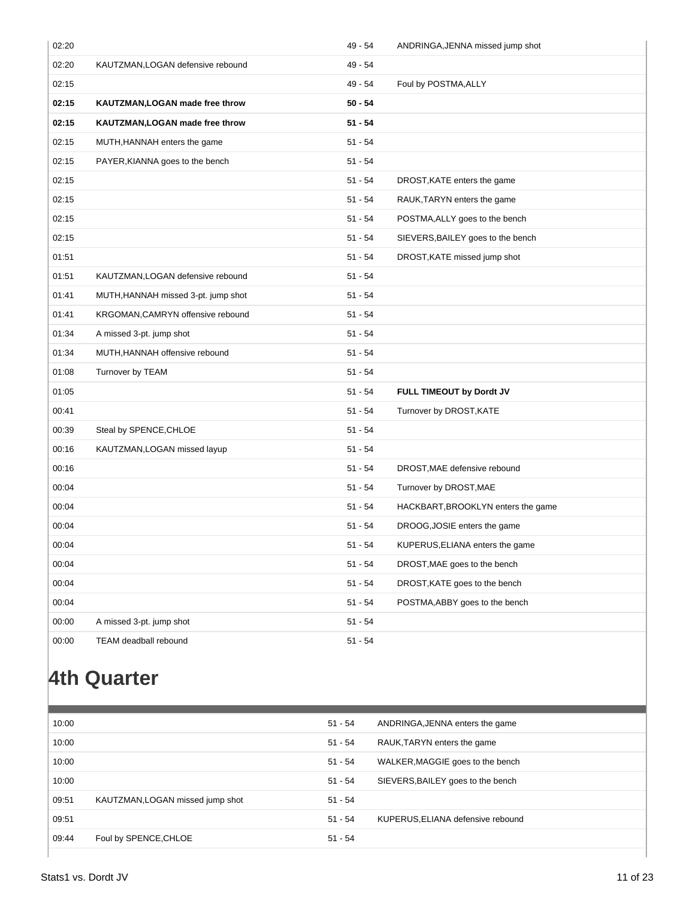| 02:20 |                                     | 49 - 54   | ANDRINGA, JENNA missed jump shot   |
|-------|-------------------------------------|-----------|------------------------------------|
| 02:20 | KAUTZMAN, LOGAN defensive rebound   | $49 - 54$ |                                    |
| 02:15 |                                     | 49 - 54   | Foul by POSTMA, ALLY               |
| 02:15 | KAUTZMAN, LOGAN made free throw     | $50 - 54$ |                                    |
| 02:15 | KAUTZMAN, LOGAN made free throw     | $51 - 54$ |                                    |
| 02:15 | MUTH, HANNAH enters the game        | $51 - 54$ |                                    |
| 02:15 | PAYER, KIANNA goes to the bench     | $51 - 54$ |                                    |
| 02:15 |                                     | $51 - 54$ | DROST, KATE enters the game        |
| 02:15 |                                     | $51 - 54$ | RAUK, TARYN enters the game        |
| 02:15 |                                     | $51 - 54$ | POSTMA, ALLY goes to the bench     |
| 02:15 |                                     | $51 - 54$ | SIEVERS, BAILEY goes to the bench  |
| 01:51 |                                     | $51 - 54$ | DROST, KATE missed jump shot       |
| 01:51 | KAUTZMAN, LOGAN defensive rebound   | $51 - 54$ |                                    |
| 01:41 | MUTH, HANNAH missed 3-pt. jump shot | $51 - 54$ |                                    |
| 01:41 | KRGOMAN, CAMRYN offensive rebound   | $51 - 54$ |                                    |
| 01:34 | A missed 3-pt. jump shot            | $51 - 54$ |                                    |
| 01:34 | MUTH, HANNAH offensive rebound      | $51 - 54$ |                                    |
| 01:08 | Turnover by TEAM                    | $51 - 54$ |                                    |
| 01:05 |                                     | $51 - 54$ | FULL TIMEOUT by Dordt JV           |
| 00:41 |                                     | $51 - 54$ | Turnover by DROST, KATE            |
| 00:39 | Steal by SPENCE, CHLOE              | $51 - 54$ |                                    |
| 00:16 | KAUTZMAN, LOGAN missed layup        | $51 - 54$ |                                    |
| 00:16 |                                     | $51 - 54$ | DROST, MAE defensive rebound       |
| 00:04 |                                     | $51 - 54$ | Turnover by DROST, MAE             |
| 00:04 |                                     | $51 - 54$ | HACKBART, BROOKLYN enters the game |
| 00:04 |                                     | $51 - 54$ | DROOG, JOSIE enters the game       |
| 00:04 |                                     | $51 - 54$ | KUPERUS, ELIANA enters the game    |
| 00:04 |                                     | $51 - 54$ | DROST, MAE goes to the bench       |
| 00:04 |                                     | $51 - 54$ | DROST, KATE goes to the bench      |
| 00:04 |                                     | $51 - 54$ | POSTMA, ABBY goes to the bench     |
| 00:00 | A missed 3-pt. jump shot            | $51 - 54$ |                                    |
| 00:00 | TEAM deadball rebound               | $51 - 54$ |                                    |

# **4th Quarter**

| 10:00 |                                  | $51 - 54$ | ANDRINGA, JENNA enters the game   |
|-------|----------------------------------|-----------|-----------------------------------|
| 10:00 |                                  | $51 - 54$ | RAUK, TARYN enters the game       |
| 10:00 |                                  | $51 - 54$ | WALKER, MAGGIE goes to the bench  |
| 10:00 |                                  | $51 - 54$ | SIEVERS, BAILEY goes to the bench |
| 09:51 | KAUTZMAN, LOGAN missed jump shot | $51 - 54$ |                                   |
| 09:51 |                                  | $51 - 54$ | KUPERUS, ELIANA defensive rebound |
| 09:44 | Foul by SPENCE, CHLOE            | $51 - 54$ |                                   |
|       |                                  |           |                                   |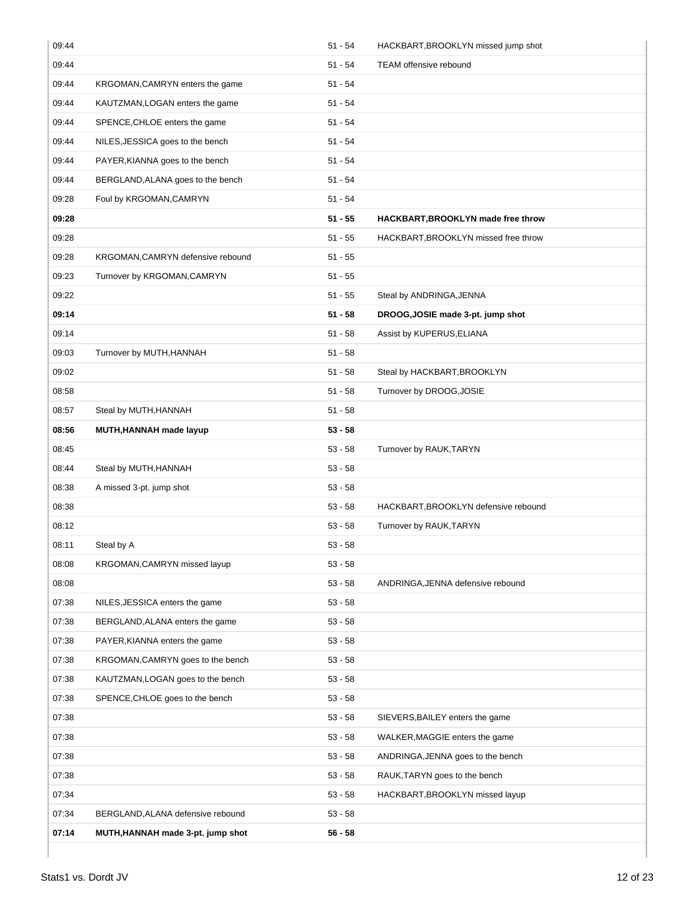| 09:44 |                                   | $51 - 54$ | HACKBART, BROOKLYN missed jump shot  |
|-------|-----------------------------------|-----------|--------------------------------------|
| 09:44 |                                   | 51 - 54   | <b>TEAM</b> offensive rebound        |
| 09:44 | KRGOMAN, CAMRYN enters the game   | 51 - 54   |                                      |
| 09:44 | KAUTZMAN, LOGAN enters the game   | 51 - 54   |                                      |
| 09:44 | SPENCE, CHLOE enters the game     | $51 - 54$ |                                      |
| 09:44 | NILES, JESSICA goes to the bench  | 51 - 54   |                                      |
| 09:44 | PAYER, KIANNA goes to the bench   | $51 - 54$ |                                      |
| 09:44 | BERGLAND, ALANA goes to the bench | 51 - 54   |                                      |
| 09:28 | Foul by KRGOMAN, CAMRYN           | 51 - 54   |                                      |
| 09:28 |                                   | $51 - 55$ | HACKBART, BROOKLYN made free throw   |
| 09:28 |                                   | $51 - 55$ | HACKBART, BROOKLYN missed free throw |
| 09:28 | KRGOMAN, CAMRYN defensive rebound | $51 - 55$ |                                      |
| 09:23 | Turnover by KRGOMAN, CAMRYN       | $51 - 55$ |                                      |
| 09:22 |                                   | $51 - 55$ | Steal by ANDRINGA, JENNA             |
| 09:14 |                                   | $51 - 58$ | DROOG, JOSIE made 3-pt. jump shot    |
| 09:14 |                                   | $51 - 58$ | Assist by KUPERUS, ELIANA            |
| 09:03 | Turnover by MUTH, HANNAH          | $51 - 58$ |                                      |
| 09:02 |                                   | $51 - 58$ | Steal by HACKBART, BROOKLYN          |
| 08:58 |                                   | $51 - 58$ | Turnover by DROOG, JOSIE             |
| 08:57 | Steal by MUTH, HANNAH             | $51 - 58$ |                                      |
| 08:56 | MUTH, HANNAH made layup           | $53 - 58$ |                                      |
| 08:45 |                                   | $53 - 58$ | Turnover by RAUK, TARYN              |
| 08:44 | Steal by MUTH, HANNAH             | $53 - 58$ |                                      |
| 08:38 | A missed 3-pt. jump shot          | $53 - 58$ |                                      |
| 08:38 |                                   | $53 - 58$ | HACKBART, BROOKLYN defensive rebound |
| 08:12 |                                   | 53 - 58   | Turnover by RAUK, TARYN              |
| 08:11 | Steal by A                        | $53 - 58$ |                                      |
| 08:08 | KRGOMAN, CAMRYN missed layup      | $53 - 58$ |                                      |
| 08:08 |                                   | $53 - 58$ | ANDRINGA, JENNA defensive rebound    |
| 07:38 | NILES, JESSICA enters the game    | $53 - 58$ |                                      |
| 07:38 | BERGLAND, ALANA enters the game   | $53 - 58$ |                                      |
| 07:38 | PAYER, KIANNA enters the game     | $53 - 58$ |                                      |
| 07:38 | KRGOMAN, CAMRYN goes to the bench | 53 - 58   |                                      |
| 07:38 | KAUTZMAN, LOGAN goes to the bench | $53 - 58$ |                                      |
| 07:38 | SPENCE, CHLOE goes to the bench   | $53 - 58$ |                                      |
| 07:38 |                                   | $53 - 58$ | SIEVERS, BAILEY enters the game      |
| 07:38 |                                   | $53 - 58$ | WALKER, MAGGIE enters the game       |
| 07:38 |                                   | 53 - 58   | ANDRINGA, JENNA goes to the bench    |
| 07:38 |                                   | $53 - 58$ | RAUK, TARYN goes to the bench        |
| 07:34 |                                   | $53 - 58$ | HACKBART, BROOKLYN missed layup      |
| 07:34 | BERGLAND, ALANA defensive rebound | $53 - 58$ |                                      |
| 07:14 | MUTH, HANNAH made 3-pt. jump shot | 56 - 58   |                                      |
|       |                                   |           |                                      |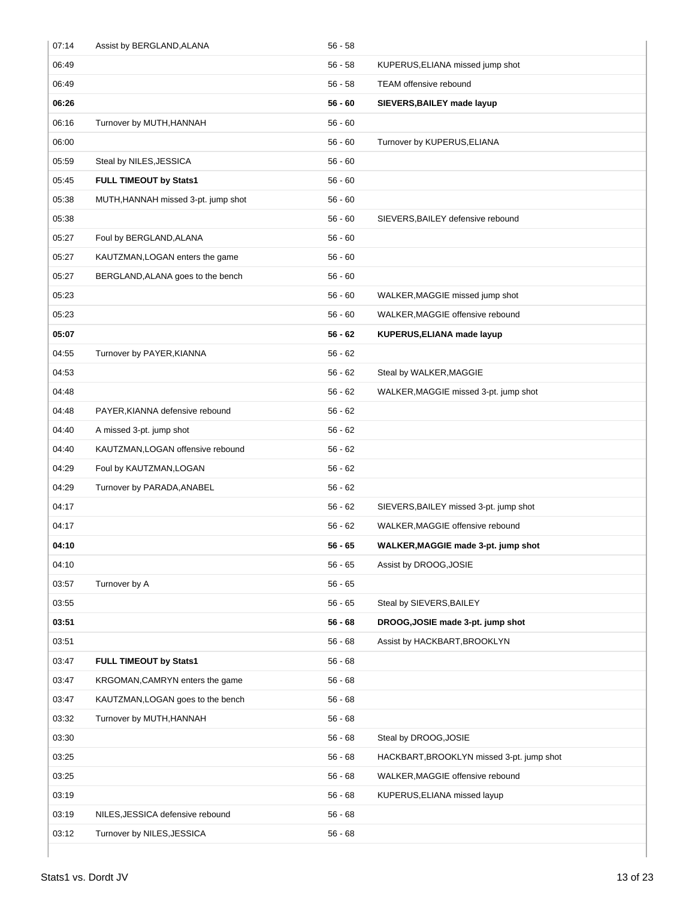| 07:14 | Assist by BERGLAND, ALANA           | $56 - 58$ |                                           |
|-------|-------------------------------------|-----------|-------------------------------------------|
| 06:49 |                                     | $56 - 58$ | KUPERUS, ELIANA missed jump shot          |
| 06:49 |                                     | $56 - 58$ | <b>TEAM</b> offensive rebound             |
| 06:26 |                                     | $56 - 60$ | SIEVERS, BAILEY made layup                |
| 06:16 | Turnover by MUTH, HANNAH            | $56 - 60$ |                                           |
| 06:00 |                                     | $56 - 60$ | Turnover by KUPERUS, ELIANA               |
| 05:59 | Steal by NILES, JESSICA             | $56 - 60$ |                                           |
| 05:45 | FULL TIMEOUT by Stats1              | $56 - 60$ |                                           |
| 05:38 | MUTH, HANNAH missed 3-pt. jump shot | $56 - 60$ |                                           |
| 05:38 |                                     | $56 - 60$ | SIEVERS, BAILEY defensive rebound         |
| 05:27 | Foul by BERGLAND, ALANA             | $56 - 60$ |                                           |
| 05:27 | KAUTZMAN, LOGAN enters the game     | $56 - 60$ |                                           |
| 05:27 | BERGLAND, ALANA goes to the bench   | $56 - 60$ |                                           |
| 05:23 |                                     | $56 - 60$ | WALKER, MAGGIE missed jump shot           |
| 05:23 |                                     | $56 - 60$ | WALKER, MAGGIE offensive rebound          |
| 05:07 |                                     | $56 - 62$ | KUPERUS, ELIANA made layup                |
| 04:55 | Turnover by PAYER, KIANNA           | $56 - 62$ |                                           |
| 04:53 |                                     | $56 - 62$ | Steal by WALKER, MAGGIE                   |
| 04:48 |                                     | $56 - 62$ | WALKER, MAGGIE missed 3-pt. jump shot     |
| 04:48 | PAYER, KIANNA defensive rebound     | $56 - 62$ |                                           |
| 04:40 | A missed 3-pt. jump shot            | $56 - 62$ |                                           |
| 04:40 | KAUTZMAN, LOGAN offensive rebound   | $56 - 62$ |                                           |
| 04:29 | Foul by KAUTZMAN, LOGAN             | $56 - 62$ |                                           |
| 04:29 | Turnover by PARADA, ANABEL          | $56 - 62$ |                                           |
| 04:17 |                                     | $56 - 62$ | SIEVERS, BAILEY missed 3-pt. jump shot    |
| 04:17 |                                     | $56 - 62$ | WALKER, MAGGIE offensive rebound          |
| 04:10 |                                     | $56 - 65$ | WALKER, MAGGIE made 3-pt. jump shot       |
| 04:10 |                                     | $56 - 65$ | Assist by DROOG, JOSIE                    |
| 03:57 | Turnover by A                       | $56 - 65$ |                                           |
| 03:55 |                                     | $56 - 65$ | Steal by SIEVERS, BAILEY                  |
| 03:51 |                                     | $56 - 68$ | DROOG, JOSIE made 3-pt. jump shot         |
| 03:51 |                                     | $56 - 68$ | Assist by HACKBART, BROOKLYN              |
| 03:47 | FULL TIMEOUT by Stats1              | $56 - 68$ |                                           |
| 03:47 | KRGOMAN, CAMRYN enters the game     | $56 - 68$ |                                           |
| 03:47 | KAUTZMAN, LOGAN goes to the bench   | $56 - 68$ |                                           |
| 03:32 | Turnover by MUTH, HANNAH            | $56 - 68$ |                                           |
| 03:30 |                                     | $56 - 68$ | Steal by DROOG, JOSIE                     |
| 03:25 |                                     | $56 - 68$ | HACKBART, BROOKLYN missed 3-pt. jump shot |
| 03:25 |                                     | $56 - 68$ | WALKER, MAGGIE offensive rebound          |
| 03:19 |                                     | $56 - 68$ | KUPERUS, ELIANA missed layup              |
| 03:19 | NILES, JESSICA defensive rebound    | $56 - 68$ |                                           |
| 03:12 | Turnover by NILES, JESSICA          | $56 - 68$ |                                           |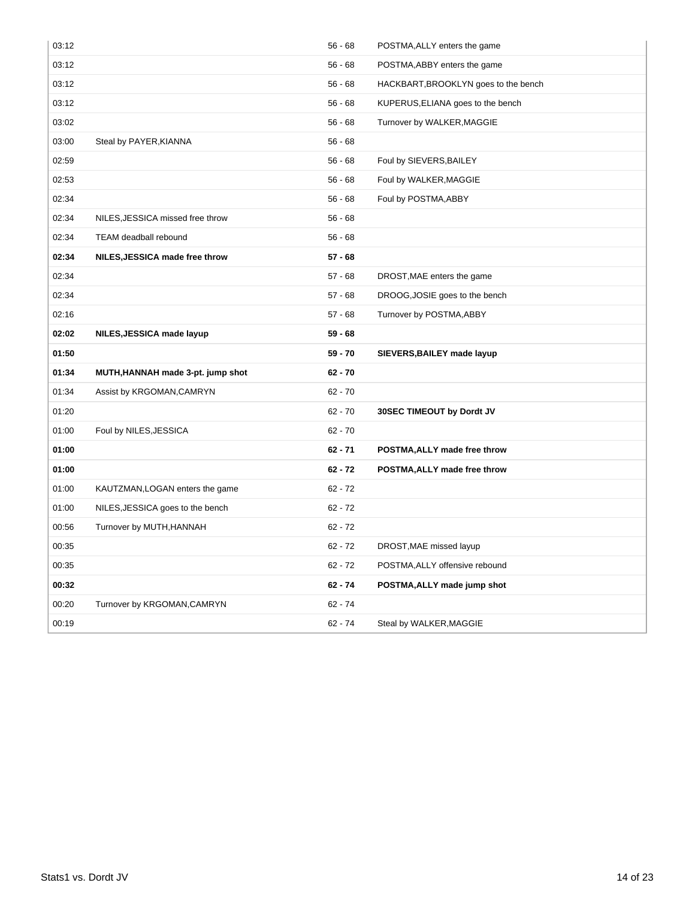| 03:12 |                                   | $56 - 68$ | POSTMA, ALLY enters the game         |
|-------|-----------------------------------|-----------|--------------------------------------|
| 03:12 |                                   | $56 - 68$ | POSTMA, ABBY enters the game         |
| 03:12 |                                   | $56 - 68$ | HACKBART, BROOKLYN goes to the bench |
| 03:12 |                                   | $56 - 68$ | KUPERUS, ELIANA goes to the bench    |
| 03:02 |                                   | $56 - 68$ | Turnover by WALKER, MAGGIE           |
| 03:00 | Steal by PAYER, KIANNA            | $56 - 68$ |                                      |
| 02:59 |                                   | $56 - 68$ | Foul by SIEVERS, BAILEY              |
| 02:53 |                                   | $56 - 68$ | Foul by WALKER, MAGGIE               |
| 02:34 |                                   | $56 - 68$ | Foul by POSTMA, ABBY                 |
| 02:34 | NILES, JESSICA missed free throw  | $56 - 68$ |                                      |
| 02:34 | TEAM deadball rebound             | $56 - 68$ |                                      |
| 02:34 | NILES, JESSICA made free throw    | $57 - 68$ |                                      |
| 02:34 |                                   | $57 - 68$ | DROST, MAE enters the game           |
| 02:34 |                                   | $57 - 68$ | DROOG, JOSIE goes to the bench       |
| 02:16 |                                   | $57 - 68$ | Turnover by POSTMA, ABBY             |
| 02:02 | NILES, JESSICA made layup         | $59 - 68$ |                                      |
|       |                                   |           |                                      |
| 01:50 |                                   | $59 - 70$ | SIEVERS, BAILEY made layup           |
| 01:34 | MUTH, HANNAH made 3-pt. jump shot | $62 - 70$ |                                      |
| 01:34 | Assist by KRGOMAN, CAMRYN         | $62 - 70$ |                                      |
| 01:20 |                                   | $62 - 70$ | 30SEC TIMEOUT by Dordt JV            |
| 01:00 | Foul by NILES, JESSICA            | $62 - 70$ |                                      |
| 01:00 |                                   | $62 - 71$ | POSTMA, ALLY made free throw         |
| 01:00 |                                   | $62 - 72$ | POSTMA, ALLY made free throw         |
| 01:00 | KAUTZMAN, LOGAN enters the game   | $62 - 72$ |                                      |
| 01:00 | NILES, JESSICA goes to the bench  | $62 - 72$ |                                      |
| 00:56 | Turnover by MUTH, HANNAH          | $62 - 72$ |                                      |
| 00:35 |                                   | $62 - 72$ | DROST, MAE missed layup              |
| 00:35 |                                   | $62 - 72$ | POSTMA, ALLY offensive rebound       |
| 00:32 |                                   | $62 - 74$ | POSTMA, ALLY made jump shot          |
| 00:20 | Turnover by KRGOMAN, CAMRYN       | $62 - 74$ |                                      |
| 00:19 |                                   | $62 - 74$ | Steal by WALKER, MAGGIE              |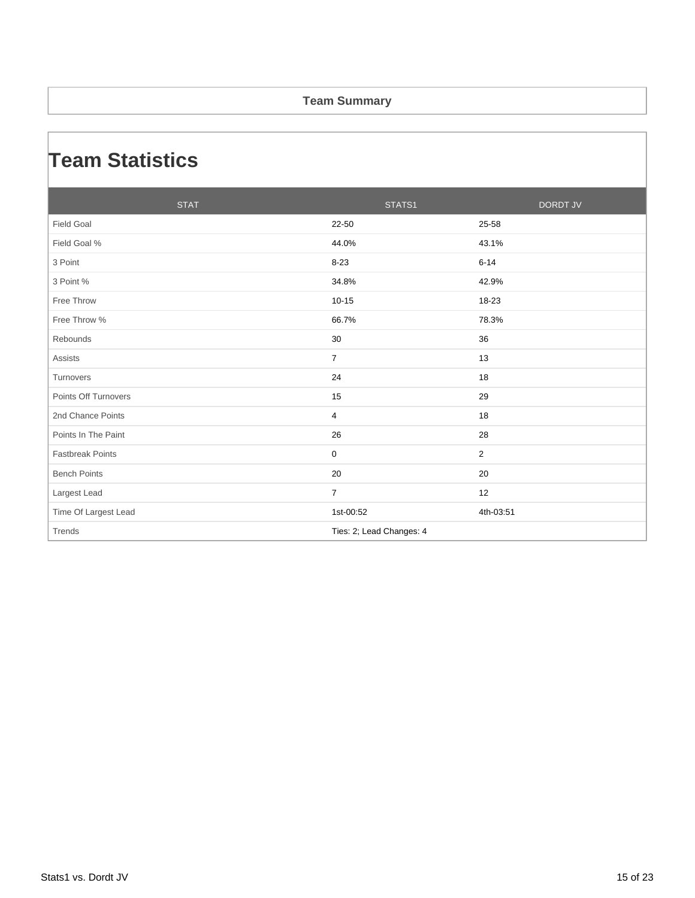#### **Team Summary**

### **Team Statistics**

|                         | <b>STAT</b> |                          | STATS1 |                | <b>DORDT JV</b> |
|-------------------------|-------------|--------------------------|--------|----------------|-----------------|
| <b>Field Goal</b>       |             | 22-50                    |        | 25-58          |                 |
| Field Goal %            |             | 44.0%                    |        | 43.1%          |                 |
| 3 Point                 |             | $8 - 23$                 |        | $6 - 14$       |                 |
| 3 Point %               |             | 34.8%                    |        | 42.9%          |                 |
| Free Throw              |             | $10 - 15$                |        | 18-23          |                 |
| Free Throw %            |             | 66.7%                    |        | 78.3%          |                 |
| Rebounds                |             | 30                       |        | 36             |                 |
| Assists                 |             | $\overline{7}$           |        | 13             |                 |
| Turnovers               |             | 24                       |        | 18             |                 |
| Points Off Turnovers    |             | 15                       |        | 29             |                 |
| 2nd Chance Points       |             | $\overline{4}$           |        | 18             |                 |
| Points In The Paint     |             | 26                       |        | 28             |                 |
| <b>Fastbreak Points</b> |             | $\mathbf 0$              |        | $\overline{2}$ |                 |
| <b>Bench Points</b>     |             | 20                       |        | 20             |                 |
| Largest Lead            |             | $\overline{7}$           |        | 12             |                 |
| Time Of Largest Lead    |             | 1st-00:52                |        | 4th-03:51      |                 |
| Trends                  |             | Ties: 2; Lead Changes: 4 |        |                |                 |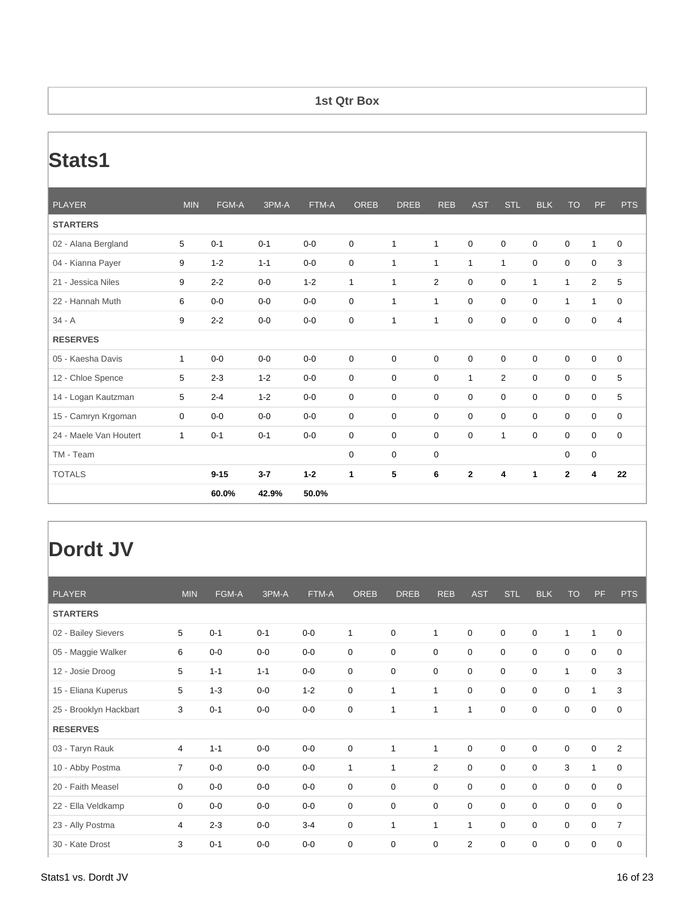#### **1st Qtr Box**

### **Stats1**

| <b>PLAYER</b>          | <b>MIN</b>  | FGM-A    | 3PM-A   | FTM-A   | <b>OREB</b> | <b>DREB</b>  | <b>REB</b>   | <b>AST</b>     | <b>STL</b>     | <b>BLK</b>  | <b>TO</b>      | <b>PF</b>        | <b>PTS</b>     |
|------------------------|-------------|----------|---------|---------|-------------|--------------|--------------|----------------|----------------|-------------|----------------|------------------|----------------|
| <b>STARTERS</b>        |             |          |         |         |             |              |              |                |                |             |                |                  |                |
| 02 - Alana Bergland    | 5           | $0 - 1$  | $0 - 1$ | $0-0$   | $\mathbf 0$ | $\mathbf{1}$ | $\mathbf{1}$ | $\mathbf 0$    | $\mathbf 0$    | $\mathbf 0$ | $\mathbf 0$    | $\mathbf{1}$     | $\mathbf 0$    |
| 04 - Kianna Payer      | 9           | $1 - 2$  | $1 - 1$ | $0-0$   | 0           | $\mathbf{1}$ | $\mathbf{1}$ | $\mathbf{1}$   | $\mathbf{1}$   | $\mathbf 0$ | 0              | $\mathbf 0$      | 3              |
| 21 - Jessica Niles     | 9           | $2 - 2$  | $0-0$   | $1 - 2$ | 1           | $\mathbf{1}$ | 2            | $\mathbf 0$    | $\mathbf 0$    | 1           | $\mathbf 1$    | $\overline{2}$   | 5              |
| 22 - Hannah Muth       | 6           | $0 - 0$  | $0 - 0$ | $0-0$   | $\mathbf 0$ | $\mathbf{1}$ | 1            | $\mathbf 0$    | $\mathbf 0$    | $\mathbf 0$ | 1              | $\mathbf{1}$     | $\mathbf 0$    |
| $34 - A$               | 9           | $2 - 2$  | $0-0$   | $0-0$   | 0           | $\mathbf{1}$ | 1            | $\mathbf 0$    | 0              | 0           | 0              | $\mathbf 0$      | $\overline{4}$ |
| <b>RESERVES</b>        |             |          |         |         |             |              |              |                |                |             |                |                  |                |
| 05 - Kaesha Davis      | 1           | $0-0$    | $0 - 0$ | $0 - 0$ | $\mathbf 0$ | $\mathbf 0$  | $\mathbf 0$  | $\mathbf 0$    | $\mathbf 0$    | $\mathbf 0$ | $\mathbf 0$    | $\mathbf 0$      | $\mathbf 0$    |
| 12 - Chloe Spence      | 5           | $2 - 3$  | $1 - 2$ | $0-0$   | 0           | $\mathbf 0$  | $\mathbf 0$  | $\mathbf{1}$   | $\overline{2}$ | $\mathbf 0$ | 0              | $\mathbf 0$      | 5              |
| 14 - Logan Kautzman    | 5           | $2 - 4$  | $1 - 2$ | $0-0$   | 0           | $\mathbf 0$  | $\mathbf 0$  | $\mathbf 0$    | $\mathbf 0$    | $\mathbf 0$ | 0              | $\pmb{0}$        | 5              |
| 15 - Camryn Krgoman    | $\mathbf 0$ | $0-0$    | $0-0$   | $0-0$   | $\mathbf 0$ | $\mathbf 0$  | $\mathbf 0$  | $\mathbf 0$    | $\mathbf 0$    | $\mathbf 0$ | $\mathbf 0$    | $\mathbf 0$      | $\mathbf 0$    |
| 24 - Maele Van Houtert | 1           | $0 - 1$  | $0 - 1$ | $0-0$   | 0           | $\mathbf 0$  | $\mathbf 0$  | $\mathbf 0$    | $\mathbf{1}$   | $\mathbf 0$ | $\mathbf 0$    | $\boldsymbol{0}$ | $\mathbf 0$    |
| TM - Team              |             |          |         |         | $\mathbf 0$ | $\mathbf 0$  | $\mathbf 0$  |                |                |             | $\mathbf 0$    | $\pmb{0}$        |                |
| <b>TOTALS</b>          |             | $9 - 15$ | $3 - 7$ | $1 - 2$ | 1           | 5            | 6            | $\overline{2}$ | 4              | 1           | $\overline{2}$ | 4                | 22             |
|                        |             | 60.0%    | 42.9%   | 50.0%   |             |              |              |                |                |             |                |                  |                |

| <b>PLAYER</b>          | <b>MIN</b>     | FGM-A   | 3PM-A   | FTM-A   | <b>OREB</b>    | <b>DREB</b>  | <b>REB</b>     | <b>AST</b>     | <b>STL</b>  | <b>BLK</b>  | <b>TO</b>        | PF          | <b>PTS</b>     |
|------------------------|----------------|---------|---------|---------|----------------|--------------|----------------|----------------|-------------|-------------|------------------|-------------|----------------|
| <b>STARTERS</b>        |                |         |         |         |                |              |                |                |             |             |                  |             |                |
| 02 - Bailey Sievers    | 5              | $0 - 1$ | $0 - 1$ | $0-0$   | $\overline{1}$ | 0            | 1              | $\mathbf 0$    | $\mathbf 0$ | $\mathbf 0$ | $\mathbf{1}$     | 1           | $\mathbf 0$    |
| 05 - Maggie Walker     | 6              | $0-0$   | $0-0$   | $0-0$   | $\mathbf 0$    | 0            | 0              | 0              | 0           | 0           | 0                | 0           | $\mathbf 0$    |
| 12 - Josie Droog       | 5              | $1 - 1$ | $1 - 1$ | $0-0$   | $\mathbf 0$    | 0            | 0              | 0              | $\mathbf 0$ | $\mathbf 0$ | 1                | 0           | 3              |
| 15 - Eliana Kuperus    | 5              | $1 - 3$ | $0-0$   | $1 - 2$ | $\mathbf 0$    | 1            | 1              | $\mathbf 0$    | $\mathbf 0$ | $\mathbf 0$ | $\boldsymbol{0}$ | 1           | 3              |
| 25 - Brooklyn Hackbart | 3              | $0 - 1$ | $0-0$   | $0-0$   | $\mathbf 0$    | 1            | 1              | $\mathbf{1}$   | $\mathbf 0$ | $\mathbf 0$ | $\mathbf 0$      | 0           | $\mathbf 0$    |
| <b>RESERVES</b>        |                |         |         |         |                |              |                |                |             |             |                  |             |                |
| 03 - Taryn Rauk        | 4              | $1 - 1$ | $0-0$   | $0-0$   | $\mathbf 0$    | 1            | $\mathbf{1}$   | 0              | $\mathbf 0$ | 0           | 0                | 0           | $\overline{2}$ |
| 10 - Abby Postma       | $\overline{7}$ | $0-0$   | $0-0$   | $0-0$   | $\overline{1}$ | $\mathbf{1}$ | $\overline{2}$ | $\mathbf 0$    | $\mathbf 0$ | $\mathbf 0$ | 3                | 1           | $\mathbf 0$    |
| 20 - Faith Measel      | 0              | $0-0$   | $0-0$   | $0-0$   | $\mathbf 0$    | 0            | 0              | 0              | $\mathbf 0$ | $\mathbf 0$ | 0                | 0           | $\mathbf 0$    |
| 22 - Ella Veldkamp     | 0              | $0-0$   | $0-0$   | $0-0$   | 0              | 0            | 0              | 0              | 0           | 0           | 0                | 0           | 0              |
| 23 - Ally Postma       | 4              | $2 - 3$ | $0-0$   | $3 - 4$ | $\mathbf 0$    | $\mathbf{1}$ | 1              | 1              | $\mathbf 0$ | $\mathbf 0$ | $\mathbf 0$      | $\mathbf 0$ | $\overline{7}$ |
| 30 - Kate Drost        | 3              | $0 - 1$ | $0-0$   | $0-0$   | $\mathbf 0$    | 0            | 0              | $\overline{2}$ | $\mathbf 0$ | $\mathbf 0$ | $\mathbf 0$      | 0           | 0              |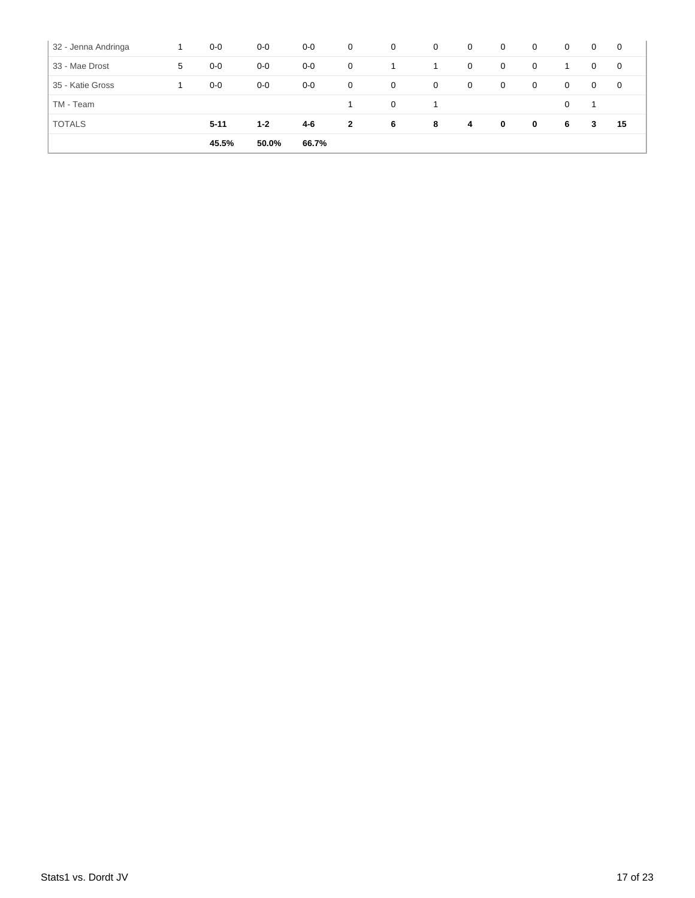| 32 - Jenna Andringa |   | $0-0$    | $0-0$   | $0-0$ | $\overline{0}$ | $\overline{0}$ | 0 | 0 | $\overline{0}$ | $\overline{0}$ | $\overline{0}$ | $\mathbf{0}$   | $\mathbf 0$ |
|---------------------|---|----------|---------|-------|----------------|----------------|---|---|----------------|----------------|----------------|----------------|-------------|
| 33 - Mae Drost      | 5 | $0-0$    | $0-0$   | $0-0$ | $\mathbf{0}$   | 1              | 1 | 0 | $\mathbf 0$    | $\mathbf 0$    |                | $\overline{0}$ | $\mathbf 0$ |
| 35 - Katie Gross    |   | $0-0$    | $0-0$   | $0-0$ | $\mathbf{0}$   | $\overline{0}$ | 0 | 0 | $\mathbf 0$    | $\overline{0}$ | $\overline{0}$ | $\overline{0}$ | 0           |
| TM - Team           |   |          |         |       |                | $\mathbf{0}$   | 1 |   |                |                | 0              | -1             |             |
| <b>TOTALS</b>       |   | $5 - 11$ | $1 - 2$ | 4-6   | $\mathbf{2}$   | 6              | 8 | 4 | $\mathbf 0$    | $\mathbf 0$    | 6              | 3              | 15          |
|                     |   | 45.5%    | 50.0%   | 66.7% |                |                |   |   |                |                |                |                |             |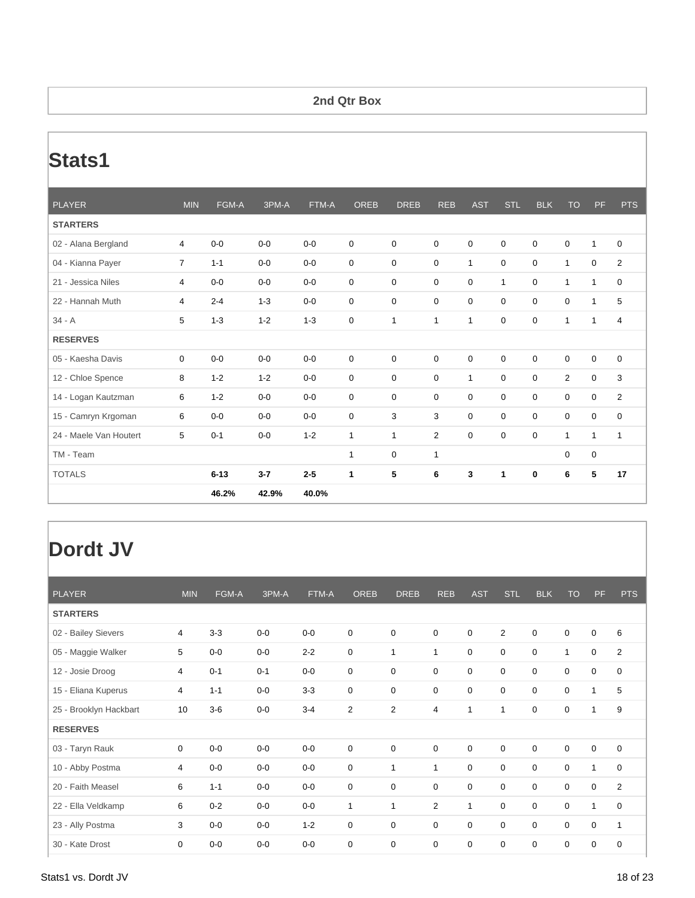#### **2nd Qtr Box**

### **Stats1**

| <b>PLAYER</b>          | <b>MIN</b>     | FGM-A    | 3PM-A   | FTM-A   | <b>OREB</b>  | <b>DREB</b>  | <b>REB</b>  | <b>AST</b>   | <b>STL</b>   | <b>BLK</b>  | <b>TO</b>      | PF           | <b>PTS</b>     |
|------------------------|----------------|----------|---------|---------|--------------|--------------|-------------|--------------|--------------|-------------|----------------|--------------|----------------|
| <b>STARTERS</b>        |                |          |         |         |              |              |             |              |              |             |                |              |                |
| 02 - Alana Bergland    | $\overline{4}$ | $0-0$    | $0-0$   | $0 - 0$ | $\mathbf 0$  | $\mathbf 0$  | $\mathbf 0$ | $\mathbf 0$  | $\mathbf 0$  | $\mathbf 0$ | 0              | $\mathbf{1}$ | 0              |
| 04 - Kianna Payer      | $\overline{7}$ | $1 - 1$  | $0-0$   | $0-0$   | 0            | 0            | $\mathbf 0$ | $\mathbf{1}$ | 0            | $\mathbf 0$ | $\mathbf{1}$   | 0            | $\overline{2}$ |
| 21 - Jessica Niles     | 4              | $0-0$    | $0 - 0$ | $0-0$   | 0            | 0            | $\mathbf 0$ | $\mathbf 0$  | $\mathbf{1}$ | $\mathbf 0$ | $\mathbf{1}$   | $\mathbf{1}$ | 0              |
| 22 - Hannah Muth       | 4              | $2 - 4$  | $1 - 3$ | $0-0$   | $\mathbf 0$  | $\mathbf 0$  | $\mathbf 0$ | $\mathbf 0$  | $\mathbf 0$  | $\mathbf 0$ | $\mathbf 0$    | $\mathbf{1}$ | 5              |
| $34 - A$               | 5              | $1 - 3$  | $1 - 2$ | $1 - 3$ | 0            | 1            | 1           | 1            | 0            | 0           | $\mathbf{1}$   | $\mathbf{1}$ | 4              |
| <b>RESERVES</b>        |                |          |         |         |              |              |             |              |              |             |                |              |                |
| 05 - Kaesha Davis      | $\mathbf 0$    | $0-0$    | $0-0$   | $0 - 0$ | 0            | $\mathbf 0$  | $\mathbf 0$ | $\mathbf 0$  | $\mathbf 0$  | 0           | 0              | $\mathbf 0$  | 0              |
| 12 - Chloe Spence      | 8              | $1 - 2$  | $1 - 2$ | $0-0$   | $\mathbf 0$  | $\mathbf 0$  | $\mathbf 0$ | 1            | $\mathbf 0$  | $\mathbf 0$ | $\overline{2}$ | $\mathbf 0$  | 3              |
| 14 - Logan Kautzman    | 6              | $1 - 2$  | $0-0$   | $0 - 0$ | 0            | $\mathbf 0$  | 0           | $\mathbf 0$  | 0            | 0           | 0              | 0            | $\overline{2}$ |
| 15 - Camryn Krgoman    | 6              | $0-0$    | $0-0$   | $0 - 0$ | $\mathbf 0$  | 3            | 3           | $\mathbf 0$  | $\mathbf 0$  | $\mathbf 0$ | $\mathbf 0$    | $\mathbf 0$  | $\mathbf 0$    |
| 24 - Maele Van Houtert | 5              | $0 - 1$  | $0 - 0$ | $1 - 2$ | $\mathbf{1}$ | $\mathbf{1}$ | 2           | $\mathbf 0$  | $\mathbf 0$  | $\mathbf 0$ | $\mathbf{1}$   | $\mathbf{1}$ | $\mathbf{1}$   |
| TM - Team              |                |          |         |         | 1            | $\mathbf 0$  | 1           |              |              |             | 0              | $\mathbf 0$  |                |
| <b>TOTALS</b>          |                | $6 - 13$ | $3 - 7$ | $2 - 5$ | $\mathbf{1}$ | 5            | 6           | 3            | 1            | 0           | 6              | 5            | 17             |
|                        |                | 46.2%    | 42.9%   | 40.0%   |              |              |             |              |              |             |                |              |                |

| <b>PLAYER</b>          | <b>MIN</b>     | FGM-A   | 3PM-A   | FTM-A   | <b>OREB</b>  | <b>DREB</b>    | <b>REB</b>       | <b>AST</b>       | <b>STL</b>   | <b>BLK</b>       | <b>TO</b>        | PF           | <b>PTS</b>     |
|------------------------|----------------|---------|---------|---------|--------------|----------------|------------------|------------------|--------------|------------------|------------------|--------------|----------------|
| <b>STARTERS</b>        |                |         |         |         |              |                |                  |                  |              |                  |                  |              |                |
| 02 - Bailey Sievers    | 4              | $3 - 3$ | $0-0$   | $0-0$   | $\mathbf 0$  | $\mathbf 0$    | $\boldsymbol{0}$ | $\boldsymbol{0}$ | 2            | $\boldsymbol{0}$ | $\boldsymbol{0}$ | 0            | 6              |
| 05 - Maggie Walker     | 5              | $0-0$   | $0-0$   | $2 - 2$ | $\mathbf 0$  | $\mathbf{1}$   | $\mathbf{1}$     | $\mathbf 0$      | $\mathbf 0$  | $\mathbf 0$      | $\mathbf{1}$     | $\mathbf 0$  | $\overline{2}$ |
| 12 - Josie Droog       | 4              | $0 - 1$ | $0 - 1$ | $0-0$   | $\mathbf 0$  | $\mathbf 0$    | 0                | $\mathbf 0$      | $\mathbf 0$  | $\mathbf 0$      | $\mathbf 0$      | 0            | 0              |
| 15 - Eliana Kuperus    | 4              | $1 - 1$ | $0-0$   | $3-3$   | $\mathbf 0$  | $\mathbf 0$    | 0                | 0                | $\mathbf 0$  | $\mathbf 0$      | $\mathbf 0$      | 1            | 5              |
| 25 - Brooklyn Hackbart | 10             | $3-6$   | $0-0$   | $3 - 4$ | 2            | $\overline{2}$ | 4                | $\mathbf{1}$     | $\mathbf{1}$ | $\mathbf 0$      | 0                | 1            | 9              |
| <b>RESERVES</b>        |                |         |         |         |              |                |                  |                  |              |                  |                  |              |                |
| 03 - Taryn Rauk        | $\mathbf 0$    | $0-0$   | $0-0$   | $0-0$   | $\mathbf 0$  | $\mathbf 0$    | $\mathbf 0$      | $\mathbf 0$      | $\mathbf 0$  | $\boldsymbol{0}$ | $\boldsymbol{0}$ | 0            | 0              |
| 10 - Abby Postma       | $\overline{4}$ | $0-0$   | $0-0$   | $0-0$   | $\mathbf 0$  | 1              | $\mathbf{1}$     | $\mathbf 0$      | $\mathbf 0$  | $\mathbf 0$      | $\mathbf 0$      | 1            | 0              |
| 20 - Faith Measel      | 6              | $1 - 1$ | $0-0$   | $0-0$   | $\mathbf 0$  | $\mathbf 0$    | 0                | $\mathbf 0$      | $\mathbf 0$  | $\mathbf 0$      | $\boldsymbol{0}$ | $\mathbf 0$  | $\overline{2}$ |
| 22 - Ella Veldkamp     | 6              | $0 - 2$ | $0-0$   | $0-0$   | $\mathbf{1}$ | 1              | 2                | $\mathbf{1}$     | $\mathbf 0$  | $\boldsymbol{0}$ | $\boldsymbol{0}$ | $\mathbf{1}$ | 0              |
| 23 - Ally Postma       | 3              | $0-0$   | $0-0$   | $1 - 2$ | 0            | 0              | 0                | $\mathbf 0$      | $\mathbf 0$  | $\mathbf 0$      | $\mathbf 0$      | 0            |                |
| 30 - Kate Drost        | 0              | $0-0$   | $0-0$   | $0-0$   | $\mathbf 0$  | $\mathbf 0$    | 0                | $\mathbf 0$      | $\mathbf 0$  | $\mathbf 0$      | $\mathbf 0$      | $\mathbf 0$  | 0              |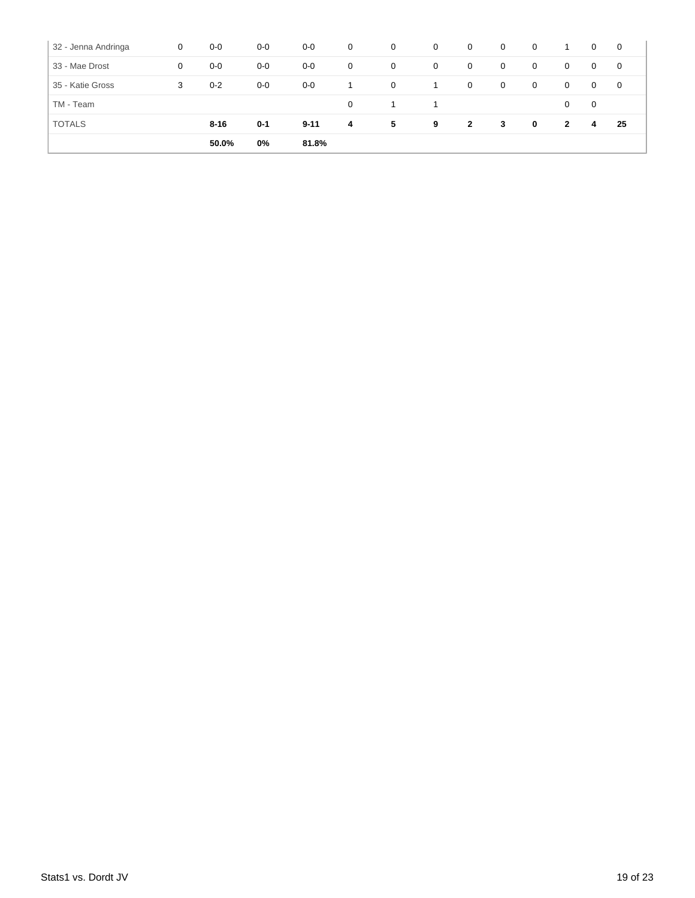| 32 - Jenna Andringa | 0 | $0-0$    | $0-0$   | $0-0$    | $\overline{0}$ | $\overline{0}$ | 0 | 0              | $\mathbf{0}$ | $\mathbf 0$    |                | $\overline{0}$ | $\mathbf 0$ |
|---------------------|---|----------|---------|----------|----------------|----------------|---|----------------|--------------|----------------|----------------|----------------|-------------|
| 33 - Mae Drost      | 0 | $0-0$    | $0-0$   | $0-0$    | $\mathbf 0$    | $\mathbf 0$    | 0 | 0              | $\mathbf 0$  | $\overline{0}$ | $\overline{0}$ | $\overline{0}$ | $\mathbf 0$ |
| 35 - Katie Gross    | 3 | $0 - 2$  | $0-0$   | $0-0$    |                | $\overline{0}$ | 1 | 0              | $\mathbf 0$  | $\mathbf 0$    | $\mathbf{0}$   | $\overline{0}$ | 0           |
| TM - Team           |   |          |         |          | $\Omega$       |                | 1 |                |              |                | $\mathbf{0}$   | 0              |             |
| <b>TOTALS</b>       |   | $8 - 16$ | $0 - 1$ | $9 - 11$ | 4              | 5              | 9 | $\overline{2}$ | 3            | $\mathbf 0$    | $\mathbf{2}$   | 4              | 25          |
|                     |   | 50.0%    | 0%      | 81.8%    |                |                |   |                |              |                |                |                |             |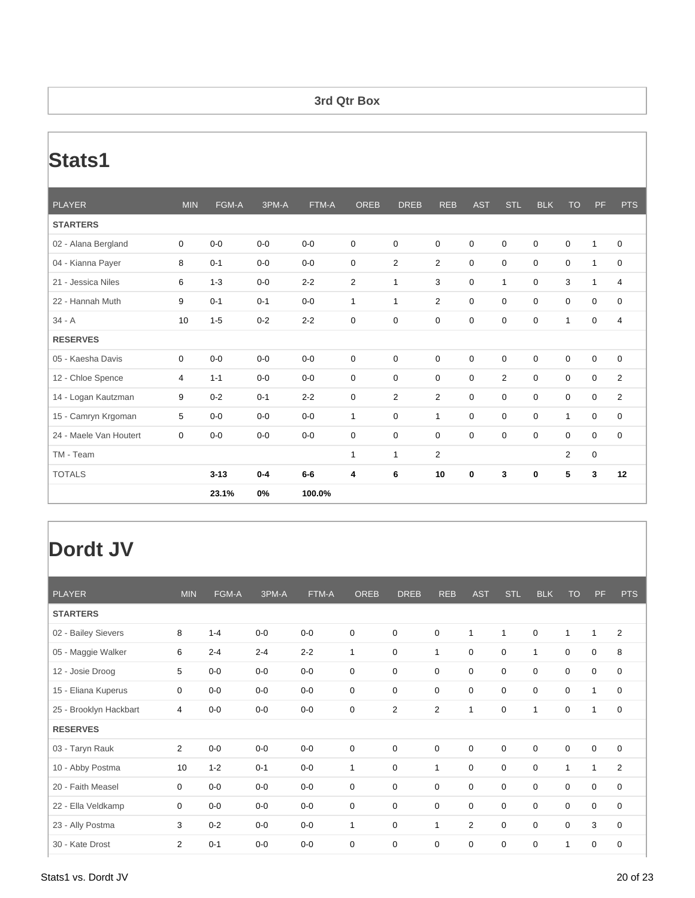#### **3rd Qtr Box**

### **Stats1**

| <b>PLAYER</b>          | <b>MIN</b>  | FGM-A    | 3PM-A   | FTM-A   | <b>OREB</b>    | <b>DREB</b>    | <b>REB</b>   | <b>AST</b>  | <b>STL</b>     | <b>BLK</b>  | <b>TO</b>   | <b>PF</b>    | <b>PTS</b>     |
|------------------------|-------------|----------|---------|---------|----------------|----------------|--------------|-------------|----------------|-------------|-------------|--------------|----------------|
| <b>STARTERS</b>        |             |          |         |         |                |                |              |             |                |             |             |              |                |
| 02 - Alana Bergland    | 0           | $0 - 0$  | $0-0$   | $0 - 0$ | $\mathbf 0$    | $\mathbf 0$    | $\mathbf 0$  | 0           | 0              | 0           | 0           | $\mathbf{1}$ | 0              |
| 04 - Kianna Payer      | 8           | $0 - 1$  | $0-0$   | $0-0$   | $\mathbf 0$    | $\overline{2}$ | 2            | $\mathbf 0$ | $\mathbf 0$    | $\mathbf 0$ | $\mathbf 0$ | $\mathbf{1}$ | $\mathbf 0$    |
| 21 - Jessica Niles     | 6           | $1 - 3$  | $0-0$   | $2 - 2$ | $\overline{2}$ | $\mathbf{1}$   | 3            | $\mathbf 0$ | $\mathbf{1}$   | $\Omega$    | 3           | $\mathbf{1}$ | $\overline{4}$ |
| 22 - Hannah Muth       | 9           | $0 - 1$  | $0 - 1$ | $0 - 0$ | $\mathbf{1}$   | $\mathbf{1}$   | 2            | $\mathbf 0$ | $\Omega$       | $\mathbf 0$ | $\mathbf 0$ | $\mathbf 0$  | $\mathbf 0$    |
| $34 - A$               | 10          | $1 - 5$  | $0 - 2$ | $2 - 2$ | $\mathbf 0$    | $\mathbf 0$    | 0            | 0           | 0              | 0           | 1           | 0            | 4              |
| <b>RESERVES</b>        |             |          |         |         |                |                |              |             |                |             |             |              |                |
| 05 - Kaesha Davis      | $\mathbf 0$ | $0 - 0$  | $0 - 0$ | $0 - 0$ | $\mathbf 0$    | $\mathbf 0$    | $\mathbf 0$  | $\mathbf 0$ | $\mathbf 0$    | $\mathbf 0$ | $\mathbf 0$ | $\mathbf 0$  | $\mathbf 0$    |
| 12 - Chloe Spence      | 4           | $1 - 1$  | $0-0$   | $0-0$   | $\mathbf 0$    | $\mathbf 0$    | 0            | $\mathbf 0$ | $\overline{2}$ | $\mathbf 0$ | 0           | $\mathbf 0$  | $\overline{2}$ |
| 14 - Logan Kautzman    | 9           | $0 - 2$  | $0 - 1$ | $2 - 2$ | $\mathbf 0$    | $\overline{2}$ | 2            | $\mathbf 0$ | $\mathbf 0$    | $\mathbf 0$ | $\mathbf 0$ | $\mathbf 0$  | 2              |
| 15 - Camryn Krgoman    | 5           | $0 - 0$  | $0 - 0$ | $0-0$   | $\mathbf{1}$   | $\mathbf 0$    | $\mathbf{1}$ | $\mathbf 0$ | 0              | $\mathbf 0$ | 1           | $\mathbf 0$  | $\mathbf 0$    |
| 24 - Maele Van Houtert | $\mathbf 0$ | $0-0$    | $0-0$   | $0-0$   | $\mathbf 0$    | $\mathbf 0$    | $\mathbf 0$  | $\Omega$    | $\mathbf 0$    | $\mathbf 0$ | $\mathbf 0$ | $\mathbf 0$  | $\mathbf 0$    |
| TM - Team              |             |          |         |         | $\mathbf{1}$   | $\mathbf{1}$   | 2            |             |                |             | 2           | $\mathbf 0$  |                |
| <b>TOTALS</b>          |             | $3 - 13$ | $0 - 4$ | $6-6$   | 4              | 6              | 10           | $\bf{0}$    | 3              | $\bf{0}$    | 5           | 3            | 12             |
|                        |             | 23.1%    | 0%      | 100.0%  |                |                |              |             |                |             |             |              |                |

| 2<br>1                     |
|----------------------------|
|                            |
|                            |
| $\mathbf 0$<br>8           |
| 0<br>0                     |
| 1<br>0                     |
| 0<br>1                     |
|                            |
| $\mathbf 0$<br>$\mathbf 0$ |
| $\overline{2}$<br>1        |
| $\mathbf 0$<br>0           |
| $\mathbf 0$<br>$\Omega$    |
| 3<br>0                     |
| 0<br>0                     |
|                            |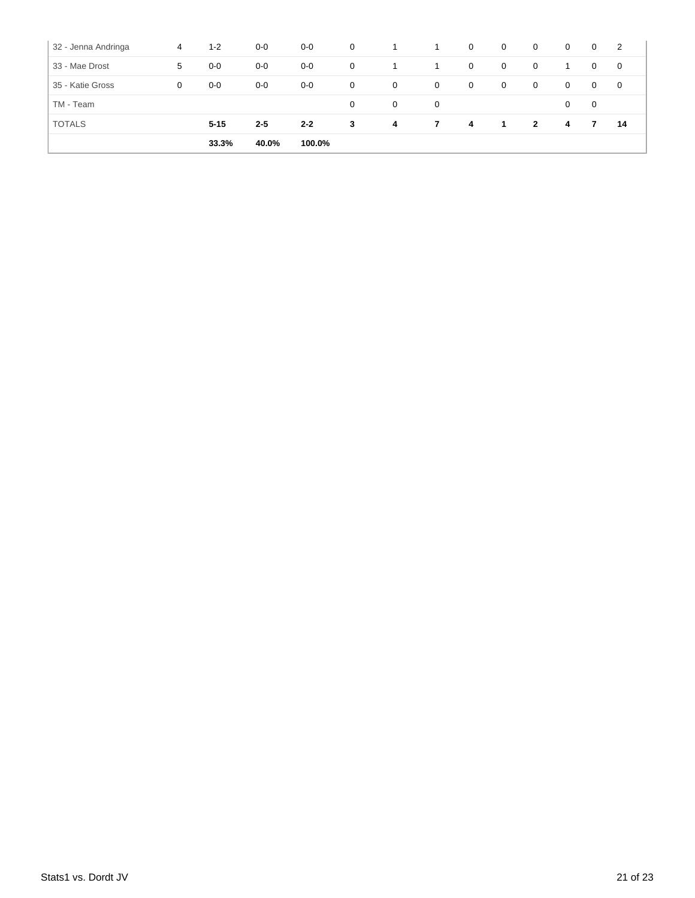| 32 - Jenna Andringa | 4 | $1 - 2$  | $0-0$   | $0-0$   | $\overline{0}$ | 1           | 1           | $\overline{0}$ | $\mathbf{0}$ | $\mathbf{0}$   | $\overline{0}$ | $\overline{0}$ | $\overline{2}$ |
|---------------------|---|----------|---------|---------|----------------|-------------|-------------|----------------|--------------|----------------|----------------|----------------|----------------|
| 33 - Mae Drost      | 5 | $0-0$    | $0-0$   | $0-0$   | $\mathbf 0$    | 1           |             | $\mathbf{0}$   | $\mathbf{0}$ | $\mathbf 0$    |                | $\mathbf{0}$   | $\overline{0}$ |
| 35 - Katie Gross    | 0 | $0-0$    | $0-0$   | $0-0$   | $\mathbf 0$    | $\mathbf 0$ | $\mathbf 0$ | $\overline{0}$ | $\mathbf{0}$ | $\overline{0}$ | $\mathbf 0$    | $\mathbf{0}$   | $\overline{0}$ |
| TM - Team           |   |          |         |         | $\Omega$       | 0           | 0           |                |              |                | 0              | 0              |                |
| <b>TOTALS</b>       |   | $5 - 15$ | $2 - 5$ | $2 - 2$ | 3              | 4           | 7           | 4              | -1           | $\overline{2}$ | 4              | 7              | 14             |
|                     |   | 33.3%    | 40.0%   | 100.0%  |                |             |             |                |              |                |                |                |                |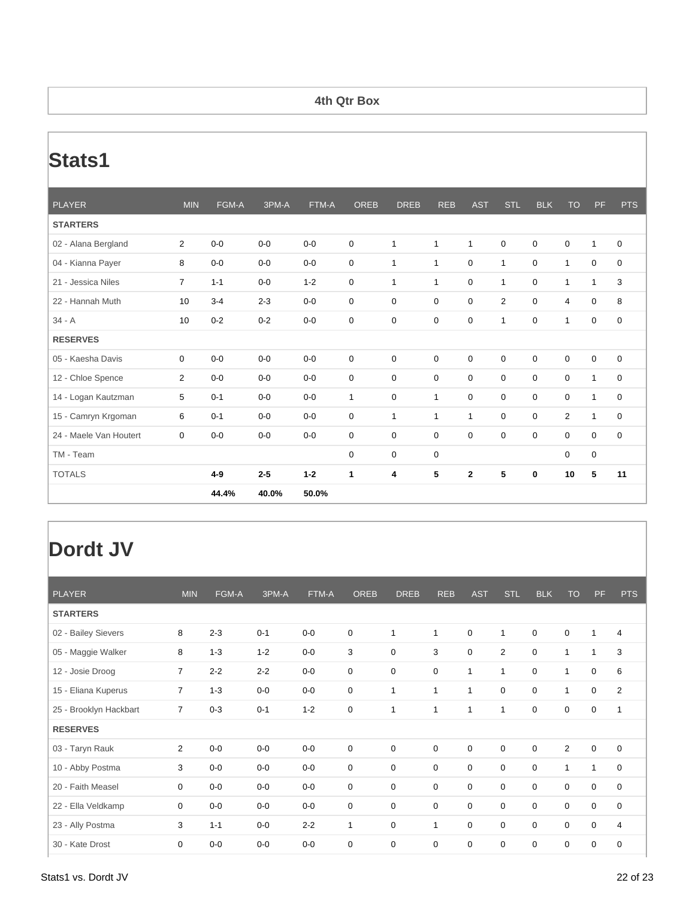#### **4th Qtr Box**

### **Stats1**

| <b>PLAYER</b>          | <b>MIN</b>       | FGM-A   | 3PM-A   | FTM-A   | <b>OREB</b> | <b>DREB</b>  | <b>REB</b>   | <b>AST</b>     | <b>STL</b>     | <b>BLK</b>  | <b>TO</b>      | <b>PF</b>        | <b>PTS</b>  |
|------------------------|------------------|---------|---------|---------|-------------|--------------|--------------|----------------|----------------|-------------|----------------|------------------|-------------|
| <b>STARTERS</b>        |                  |         |         |         |             |              |              |                |                |             |                |                  |             |
| 02 - Alana Bergland    | $\overline{2}$   | $0-0$   | $0 - 0$ | $0-0$   | 0           | 1            | 1            | $\mathbf{1}$   | 0              | $\mathbf 0$ | 0              | $\mathbf{1}$     | 0           |
| 04 - Kianna Payer      | 8                | $0-0$   | $0-0$   | $0-0$   | $\mathbf 0$ | $\mathbf{1}$ | $\mathbf{1}$ | $\mathbf 0$    | $\mathbf{1}$   | $\mathbf 0$ | $\mathbf{1}$   | $\mathbf 0$      | $\mathbf 0$ |
| 21 - Jessica Niles     | $\overline{7}$   | $1 - 1$ | $0-0$   | $1 - 2$ | $\mathbf 0$ | $\mathbf{1}$ | 1            | $\mathbf 0$    | $\mathbf{1}$   | $\mathbf 0$ | 1              | $\mathbf{1}$     | 3           |
| 22 - Hannah Muth       | 10               | $3 - 4$ | $2 - 3$ | $0-0$   | $\mathbf 0$ | $\mathbf 0$  | $\mathbf 0$  | $\Omega$       | $\overline{2}$ | $\Omega$    | 4              | $\boldsymbol{0}$ | 8           |
| $34 - A$               | 10 <sup>10</sup> | $0 - 2$ | $0 - 2$ | $0-0$   | 0           | $\mathbf 0$  | $\mathbf 0$  | $\mathbf 0$    | 1              | $\mathbf 0$ | $\mathbf 1$    | $\pmb{0}$        | $\mathbf 0$ |
| <b>RESERVES</b>        |                  |         |         |         |             |              |              |                |                |             |                |                  |             |
| 05 - Kaesha Davis      | $\Omega$         | $0 - 0$ | $0 - 0$ | $0-0$   | $\mathbf 0$ | $\mathbf 0$  | $\mathbf 0$  | $\mathbf 0$    | $\mathbf 0$    | $\mathbf 0$ | $\mathbf 0$    | $\mathbf 0$      | $\mathbf 0$ |
| 12 - Chloe Spence      | $\overline{2}$   | $0-0$   | $0-0$   | $0-0$   | $\mathbf 0$ | $\mathbf 0$  | $\mathbf 0$  | $\mathbf 0$    | $\mathbf 0$    | $\mathbf 0$ | $\mathbf 0$    | $\mathbf{1}$     | $\mathbf 0$ |
| 14 - Logan Kautzman    | 5                | $0 - 1$ | $0-0$   | $0-0$   | 1           | $\mathbf 0$  | 1            | $\mathbf 0$    | 0              | $\mathbf 0$ | 0              | $\mathbf{1}$     | $\mathbf 0$ |
| 15 - Camryn Krgoman    | 6                | $0 - 1$ | $0-0$   | $0-0$   | 0           | $\mathbf{1}$ | 1            | $\mathbf{1}$   | $\mathbf 0$    | $\mathbf 0$ | $\overline{2}$ | $\mathbf{1}$     | 0           |
| 24 - Maele Van Houtert | $\Omega$         | $0-0$   | $0 - 0$ | $0-0$   | $\mathbf 0$ | $\mathbf 0$  | $\mathbf 0$  | $\Omega$       | $\Omega$       | $\Omega$    | $\mathbf 0$    | $\mathbf 0$      | $\mathbf 0$ |
| TM - Team              |                  |         |         |         | $\mathbf 0$ | $\mathbf 0$  | $\mathbf 0$  |                |                |             | $\mathbf 0$    | $\pmb{0}$        |             |
| <b>TOTALS</b>          |                  | $4 - 9$ | $2 - 5$ | $1 - 2$ | 1           | 4            | 5            | $\overline{2}$ | 5              | 0           | 10             | 5                | 11          |
|                        |                  | 44.4%   | 40.0%   | 50.0%   |             |              |              |                |                |             |                |                  |             |

| <b>PLAYER</b>          | <b>MIN</b>     | FGM-A   | 3PM-A   | FTM-A   | <b>OREB</b>  | <b>DREB</b>  | <b>REB</b> | <b>AST</b>  | <b>STL</b>     | <b>BLK</b>  | <b>TO</b>      | PF          | <b>PTS</b>     |
|------------------------|----------------|---------|---------|---------|--------------|--------------|------------|-------------|----------------|-------------|----------------|-------------|----------------|
| <b>STARTERS</b>        |                |         |         |         |              |              |            |             |                |             |                |             |                |
| 02 - Bailey Sievers    | 8              | $2 - 3$ | $0 - 1$ | $0-0$   | $\mathbf 0$  | $\mathbf{1}$ | 1          | $\mathbf 0$ | $\mathbf{1}$   | $\mathbf 0$ | $\mathbf 0$    | 1           | $\overline{4}$ |
| 05 - Maggie Walker     | 8              | $1 - 3$ | $1 - 2$ | $0-0$   | 3            | 0            | 3          | 0           | $\overline{2}$ | 0           | $\mathbf{1}$   | 1           | 3              |
| 12 - Josie Droog       | $\overline{7}$ | $2 - 2$ | $2 - 2$ | $0-0$   | $\mathbf 0$  | 0            | 0          | 1           | $\mathbf{1}$   | $\mathbf 0$ | 1              | 0           | 6              |
| 15 - Eliana Kuperus    | $\overline{7}$ | $1 - 3$ | $0-0$   | $0-0$   | $\mathbf 0$  | 1            | 1          | 1           | $\mathbf 0$    | $\mathbf 0$ | $\mathbf{1}$   | $\mathbf 0$ | $\overline{2}$ |
| 25 - Brooklyn Hackbart | $\overline{7}$ | $0 - 3$ | $0 - 1$ | $1 - 2$ | $\mathbf 0$  | 1            | 1          | 1           | $\mathbf{1}$   | $\mathbf 0$ | 0              | 0           | 1              |
| <b>RESERVES</b>        |                |         |         |         |              |              |            |             |                |             |                |             |                |
| 03 - Taryn Rauk        | $\overline{2}$ | $0-0$   | $0-0$   | $0-0$   | $\mathbf 0$  | 0            | 0          | 0           | $\mathbf 0$    | 0           | $\overline{2}$ | 0           | 0              |
| 10 - Abby Postma       | 3              | $0-0$   | $0-0$   | $0-0$   | $\mathbf 0$  | 0            | 0          | $\mathbf 0$ | $\mathbf 0$    | $\mathbf 0$ | $\mathbf{1}$   | 1           | $\mathbf 0$    |
| 20 - Faith Measel      | 0              | $0-0$   | $0-0$   | $0-0$   | $\mathbf 0$  | 0            | 0          | 0           | $\mathbf 0$    | $\mathbf 0$ | $\mathbf 0$    | 0           | $\mathbf 0$    |
| 22 - Ella Veldkamp     | 0              | $0-0$   | $0-0$   | $0-0$   | 0            | 0            | 0          | 0           | 0              | 0           | 0              | 0           | 0              |
| 23 - Ally Postma       | 3              | $1 - 1$ | $0-0$   | $2 - 2$ | $\mathbf{1}$ | 0            | 1          | $\mathbf 0$ | $\mathbf 0$    | $\mathbf 0$ | $\mathbf 0$    | $\mathbf 0$ | $\overline{4}$ |
| 30 - Kate Drost        | 0              | $0-0$   | $0-0$   | $0-0$   | $\mathbf 0$  | 0            | 0          | 0           | $\mathbf 0$    | $\mathbf 0$ | $\mathbf 0$    | 0           | $\mathbf 0$    |